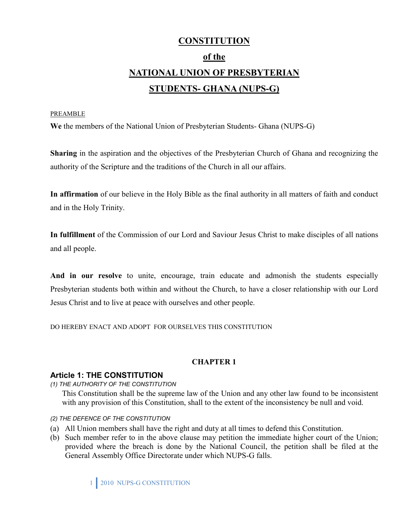# **CONSTITUTION of the NATIONAL UNION OF PRESBYTERIAN STUDENTS- GHANA (NUPS-G)**

#### PREAMBLE

**We** the members of the National Union of Presbyterian Students- Ghana (NUPS-G)

**Sharing** in the aspiration and the objectives of the Presbyterian Church of Ghana and recognizing the authority of the Scripture and the traditions of the Church in all our affairs.

**In affirmation** of our believe in the Holy Bible as the final authority in all matters of faith and conduct and in the Holy Trinity.

**In fulfillment** of the Commission of our Lord and Saviour Jesus Christ to make disciples of all nations and all people.

**And in our resolve** to unite, encourage, train educate and admonish the students especially Presbyterian students both within and without the Church, to have a closer relationship with our Lord Jesus Christ and to live at peace with ourselves and other people.

DO HEREBY ENACT AND ADOPT FOR OURSELVES THIS CONSTITUTION

### **CHAPTER 1**

#### **Article 1: THE CONSTITUTION**

*(1) THE AUTHORITY OF THE CONSTITUTION* 

This Constitution shall be the supreme law of the Union and any other law found to be inconsistent with any provision of this Constitution, shall to the extent of the inconsistency be null and void.

- *(2) THE DEFENCE OF THE CONSTITUTION*
- (a) All Union members shall have the right and duty at all times to defend this Constitution.
- (b) Such member refer to in the above clause may petition the immediate higher court of the Union; provided where the breach is done by the National Council, the petition shall be filed at the General Assembly Office Directorate under which NUPS-G falls.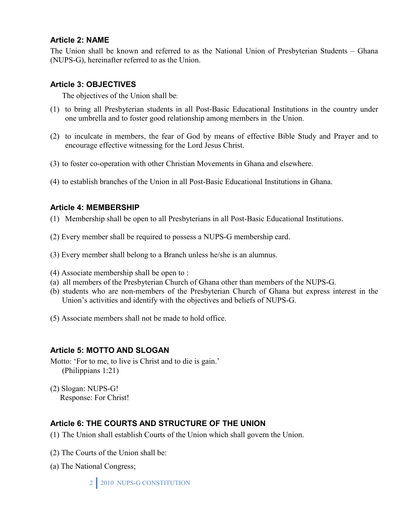### **Article 2: NAME**

The Union shall be known and referred to as the National Union of Presbyterian Students – Ghana (NUPS-G), hereinafter referred to as the Union.

### **Article 3: OBJECTIVES**

The objectives of the Union shall be:

- (1) to bring all Presbyterian students in all Post-Basic Educational Institutions in the country under one umbrella and to foster good relationship among members in the Union.
- (2) to inculcate in members, the fear of God by means of effective Bible Study and Prayer and to encourage effective witnessing for the Lord Jesus Christ.
- (3) to foster co-operation with other Christian Movements in Ghana and elsewhere.
- (4) to establish branches of the Union in all Post-Basic Educational Institutions in Ghana.

### **Article 4: MEMBERSHIP**

- (1) Membership shall be open to all Presbyterians in all Post-Basic Educational Institutions.
- (2) Every member shall be required to possess a NUPS-G membership card.
- (3) Every member shall belong to a Branch unless he/she is an alumnus.
- (4) Associate membership shall be open to :
- (a) all members of the Presbyterian Church of Ghana other than members of the NUPS-G.
- (b) students who are non-members of the Presbyterian Church of Ghana but express interest in the Union's activities and identify with the objectives and beliefs of NUPS-G.
- (5) Associate members shall not be made to hold office.

### **Article 5: MOTTO AND SLOGAN**

- Motto: 'For to me, to live is Christ and to die is gain.' (Philippians 1:21)
- (2) Slogan: NUPS-G! Response: For Christ!

# **Article 6: THE COURTS AND STRUCTURE OF THE UNION**

- (1) The Union shall establish Courts of the Union which shall govern the Union.
- (2) The Courts of the Union shall be:
- (a) The National Congress;

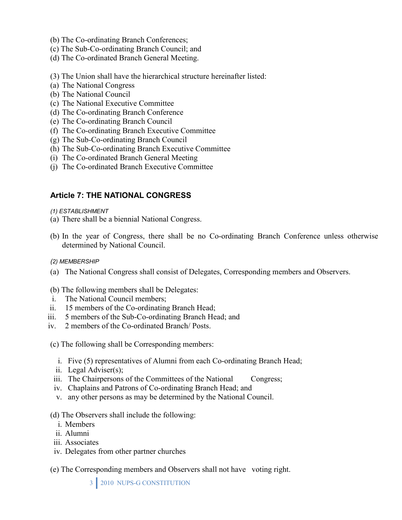- (b) The Co-ordinating Branch Conferences;
- (c) The Sub-Co-ordinating Branch Council; and
- (d) The Co-ordinated Branch General Meeting.
- (3) The Union shall have the hierarchical structure hereinafter listed:
- (a) The National Congress
- (b) The National Council
- (c) The National Executive Committee
- (d) The Co-ordinating Branch Conference
- (e) The Co-ordinating Branch Council
- (f) The Co-ordinating Branch Executive Committee
- (g) The Sub-Co-ordinating Branch Council
- (h) The Sub-Co-ordinating Branch Executive Committee
- (i) The Co-ordinated Branch General Meeting
- (j) The Co-ordinated Branch Executive Committee

### **Article 7: THE NATIONAL CONGRESS**

#### *(1) ESTABLISHMENT*

- (a) There shall be a biennial National Congress.
- (b) In the year of Congress, there shall be no Co-ordinating Branch Conference unless otherwise determined by National Council.
- *(2) MEMBERSHIP*
- (a) The National Congress shall consist of Delegates, Corresponding members and Observers.

#### (b) The following members shall be Delegates:

- i. The National Council members;
- ii. 15 members of the Co-ordinating Branch Head;
- iii. 5 members of the Sub-Co-ordinating Branch Head; and
- iv. 2 members of the Co-ordinated Branch/ Posts.
- (c) The following shall be Corresponding members:
	- i. Five (5) representatives of Alumni from each Co-ordinating Branch Head;
	- ii. Legal Adviser(s);
	- iii. The Chairpersons of the Committees of the National Congress;
	- iv. Chaplains and Patrons of Co-ordinating Branch Head; and
	- v. any other persons as may be determined by the National Council.

#### (d) The Observers shall include the following:

- i. Members
- ii. Alumni
- iii. Associates
- iv. Delegates from other partner churches
- (e) The Corresponding members and Observers shall not have voting right.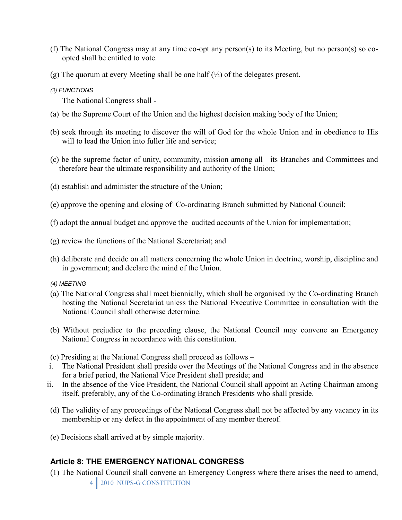- (f) The National Congress may at any time co-opt any person(s) to its Meeting, but no person(s) so coopted shall be entitled to vote.
- (g) The quorum at every Meeting shall be one half  $(\frac{1}{2})$  of the delegates present.
- *(3) FUNCTIONS*

The National Congress shall -

- (a) be the Supreme Court of the Union and the highest decision making body of the Union;
- (b) seek through its meeting to discover the will of God for the whole Union and in obedience to His will to lead the Union into fuller life and service;
- (c) be the supreme factor of unity, community, mission among all its Branches and Committees and therefore bear the ultimate responsibility and authority of the Union;
- (d) establish and administer the structure of the Union;
- (e) approve the opening and closing of Co-ordinating Branch submitted by National Council;
- (f) adopt the annual budget and approve the audited accounts of the Union for implementation;
- (g) review the functions of the National Secretariat; and
- (h) deliberate and decide on all matters concerning the whole Union in doctrine, worship, discipline and in government; and declare the mind of the Union.

#### *(4) MEETING*

- (a) The National Congress shall meet biennially, which shall be organised by the Co-ordinating Branch hosting the National Secretariat unless the National Executive Committee in consultation with the National Council shall otherwise determine.
- (b) Without prejudice to the preceding clause, the National Council may convene an Emergency National Congress in accordance with this constitution.
- (c) Presiding at the National Congress shall proceed as follows –
- i. The National President shall preside over the Meetings of the National Congress and in the absence for a brief period, the National Vice President shall preside; and
- ii. In the absence of the Vice President, the National Council shall appoint an Acting Chairman among itself, preferably, any of the Co-ordinating Branch Presidents who shall preside.
- (d) The validity of any proceedings of the National Congress shall not be affected by any vacancy in its membership or any defect in the appointment of any member thereof.
- (e) Decisions shall arrived at by simple majority.

# **Article 8: THE EMERGENCY NATIONAL CONGRESS**

4 2010 NUPS-G CONSTITUTION (1) The National Council shall convene an Emergency Congress where there arises the need to amend,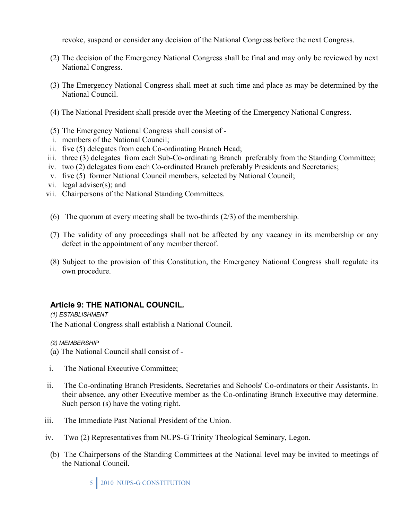revoke, suspend or consider any decision of the National Congress before the next Congress.

- (2) The decision of the Emergency National Congress shall be final and may only be reviewed by next National Congress.
- (3) The Emergency National Congress shall meet at such time and place as may be determined by the National Council.
- (4) The National President shall preside over the Meeting of the Emergency National Congress.
- (5) The Emergency National Congress shall consist of -
- i. members of the National Council;
- ii. five (5) delegates from each Co-ordinating Branch Head;
- iii. three (3) delegates from each Sub-Co-ordinating Branch preferably from the Standing Committee;
- iv. two (2) delegates from each Co-ordinated Branch preferably Presidents and Secretaries;
- v. five (5) former National Council members, selected by National Council;
- vi. legal adviser(s); and
- vii. Chairpersons of the National Standing Committees.
- (6) The quorum at every meeting shall be two-thirds (2/3) of the membership.
- (7) The validity of any proceedings shall not be affected by any vacancy in its membership or any defect in the appointment of any member thereof.
- (8) Subject to the provision of this Constitution, the Emergency National Congress shall regulate its own procedure.

### **Article 9: THE NATIONAL COUNCIL***.*

*(1) ESTABLISHMENT* 

The National Congress shall establish a National Council.

*(2) MEMBERSHIP* 

- (a) The National Council shall consist of -
- i. The National Executive Committee;
- ii. The Co-ordinating Branch Presidents, Secretaries and Schools' Co-ordinators or their Assistants. In their absence, any other Executive member as the Co-ordinating Branch Executive may determine. Such person (s) have the voting right.
- iii. The Immediate Past National President of the Union.
- iv. Two (2) Representatives from NUPS-G Trinity Theological Seminary, Legon.
	- (b) The Chairpersons of the Standing Committees at the National level may be invited to meetings of the National Council.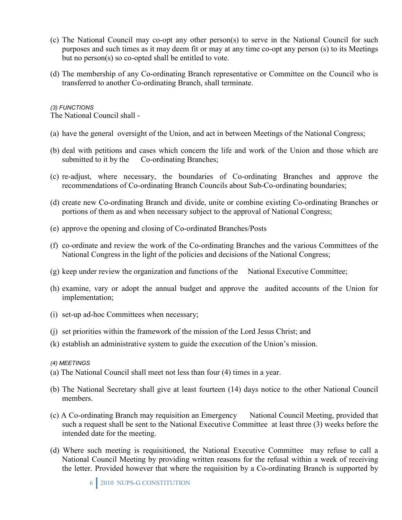- (c) The National Council may co-opt any other person(s) to serve in the National Council for such purposes and such times as it may deem fit or may at any time co-opt any person (s) to its Meetings but no person(s) so co-opted shall be entitled to vote.
- (d) The membership of any Co-ordinating Branch representative or Committee on the Council who is transferred to another Co-ordinating Branch, shall terminate.

#### *(3) FUNCTIONS*

The National Council shall -

- (a) have the general oversight of the Union, and act in between Meetings of the National Congress;
- (b) deal with petitions and cases which concern the life and work of the Union and those which are submitted to it by the Co-ordinating Branches;
- (c) re-adjust, where necessary, the boundaries of Co-ordinating Branches and approve the recommendations of Co-ordinating Branch Councils about Sub-Co-ordinating boundaries;
- (d) create new Co-ordinating Branch and divide, unite or combine existing Co-ordinating Branches or portions of them as and when necessary subject to the approval of National Congress;
- (e) approve the opening and closing of Co-ordinated Branches/Posts
- (f) co-ordinate and review the work of the Co-ordinating Branches and the various Committees of the National Congress in the light of the policies and decisions of the National Congress;
- (g) keep under review the organization and functions of the National Executive Committee;
- (h) examine, vary or adopt the annual budget and approve the audited accounts of the Union for implementation;
- (i) set-up ad-hoc Committees when necessary;
- (j) set priorities within the framework of the mission of the Lord Jesus Christ; and
- (k) establish an administrative system to guide the execution of the Union's mission.

#### *(4) MEETINGS*

- (a) The National Council shall meet not less than four (4) times in a year.
- (b) The National Secretary shall give at least fourteen (14) days notice to the other National Council members.
- (c) A Co-ordinating Branch may requisition an Emergency National Council Meeting, provided that such a request shall be sent to the National Executive Committee at least three (3) weeks before the intended date for the meeting.
- (d) Where such meeting is requisitioned, the National Executive Committee may refuse to call a National Council Meeting by providing written reasons for the refusal within a week of receiving the letter. Provided however that where the requisition by a Co-ordinating Branch is supported by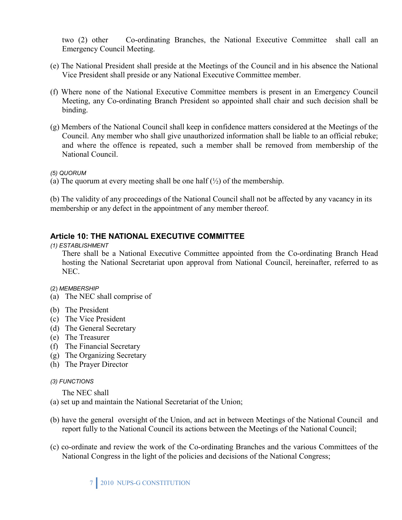two (2) other Co-ordinating Branches, the National Executive Committee shall call an Emergency Council Meeting.

- (e) The National President shall preside at the Meetings of the Council and in his absence the National Vice President shall preside or any National Executive Committee member.
- (f) Where none of the National Executive Committee members is present in an Emergency Council Meeting, any Co-ordinating Branch President so appointed shall chair and such decision shall be binding.
- (g) Members of the National Council shall keep in confidence matters considered at the Meetings of the Council. Any member who shall give unauthorized information shall be liable to an official rebuke; and where the offence is repeated, such a member shall be removed from membership of the National Council.

*(5) QUORUM* 

(a) The quorum at every meeting shall be one half  $(\frac{1}{2})$  of the membership.

(b) The validity of any proceedings of the National Council shall not be affected by any vacancy in its membership or any defect in the appointment of any member thereof.

# **Article 10: THE NATIONAL EXECUTIVE COMMITTEE**

*(1) ESTABLISHMENT* 

There shall be a National Executive Committee appointed from the Co-ordinating Branch Head hosting the National Secretariat upon approval from National Council, hereinafter, referred to as NEC.

#### (2) *MEMBERSHIP*

- (a) The NEC shall comprise of
- (b) The President
- (c) The Vice President
- (d) The General Secretary
- (e) The Treasurer
- (f) The Financial Secretary
- (g) The Organizing Secretary
- (h) The Prayer Director

#### *(3) FUNCTIONS*

The NEC shall

(a) set up and maintain the National Secretariat of the Union;

- (b) have the general oversight of the Union, and act in between Meetings of the National Council and report fully to the National Council its actions between the Meetings of the National Council;
- (c) co-ordinate and review the work of the Co-ordinating Branches and the various Committees of the National Congress in the light of the policies and decisions of the National Congress;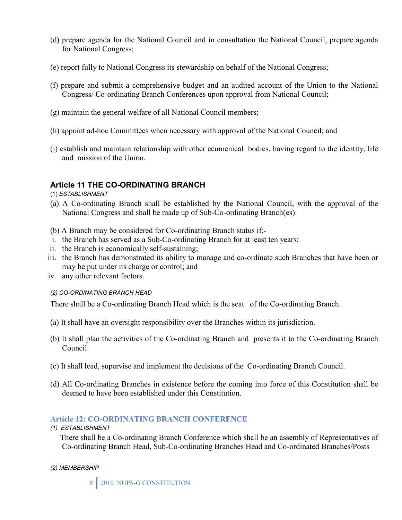- (d) prepare agenda for the National Council and in consultation the National Council, prepare agenda for National Congress;
- (e) report fully to National Congress its stewardship on behalf of the National Congress;
- (f) prepare and submit a comprehensive budget and an audited account of the Union to the National Congress/ Co-ordinating Branch Conferences upon approval from National Council;
- (g) maintain the general welfare of all National Council members;
- (h) appoint ad-hoc Committees when necessary with approval of the National Council; and
- (i) establish and maintain relationship with other ecumenical bodies, having regard to the identity, life and mission of the Union.

### **Article 11 THE CO-ORDINATING BRANCH**

(1) *ESTABLISHMENT*

- (a) A Co-ordinating Branch shall be established by the National Council, with the approval of the National Congress and shall be made up of Sub-Co-ordinating Branch(es).
- (b) A Branch may be considered for Co-ordinating Branch status if:-
- i. the Branch has served as a Sub-Co-ordinating Branch for at least ten years;
- ii. the Branch is economically self-sustaining;
- iii. the Branch has demonstrated its ability to manage and co-ordinate such Branches that have been or may be put under its charge or control; and
- iv. any other relevant factors.

#### *(2) CO-ORDINATING BRANCH HEAD*

There shall be a Co-ordinating Branch Head which is the seat of the Co-ordinating Branch.

- (a) It shall have an oversight responsibility over the Branches within its jurisdiction.
- (b) It shall plan the activities of the Co-ordinating Branch and presents it to the Co-ordinating Branch Council.
- (c) It shall lead, supervise and implement the decisions of the Co-ordinating Branch Council.
- (d) All Co-ordinating Branches in existence before the coming into force of this Constitution shall be deemed to have been established under this Constitution.

#### **Article 12: CO-ORDINATING BRANCH CONFERENCE**

*(1) ESTABLISHMENT* 

 There shall be a Co-ordinating Branch Conference which shall be an assembly of Representatives of Co-ordinating Branch Head, Sub-Co-ordinating Branches Head and Co-ordinated Branches/Posts

*(2) MEMBERSHIP*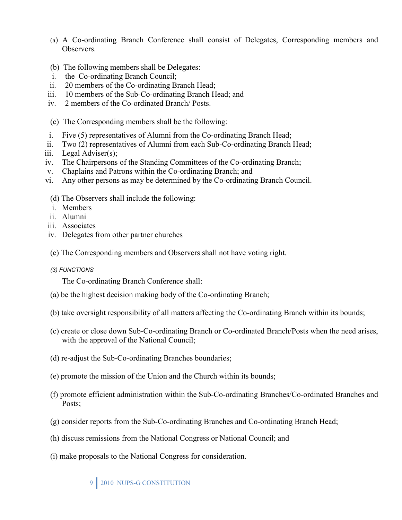- (a) A Co-ordinating Branch Conference shall consist of Delegates, Corresponding members and **Observers**
- (b) The following members shall be Delegates:
- i. the Co-ordinating Branch Council;
- ii. 20 members of the Co-ordinating Branch Head;
- iii. 10 members of the Sub-Co-ordinating Branch Head; and
- iv. 2 members of the Co-ordinated Branch/ Posts.
- (c) The Corresponding members shall be the following:
- i. Five (5) representatives of Alumni from the Co-ordinating Branch Head;
- ii. Two (2) representatives of Alumni from each Sub-Co-ordinating Branch Head;
- iii. Legal Adviser(s);
- iv. The Chairpersons of the Standing Committees of the Co-ordinating Branch;
- v. Chaplains and Patrons within the Co-ordinating Branch; and
- vi. Any other persons as may be determined by the Co-ordinating Branch Council.
- (d) The Observers shall include the following:
- i. Members
- ii. Alumni
- iii. Associates
- iv. Delegates from other partner churches
- (e) The Corresponding members and Observers shall not have voting right.
- *(3) FUNCTIONS*

The Co-ordinating Branch Conference shall:

- (a) be the highest decision making body of the Co-ordinating Branch;
- (b) take oversight responsibility of all matters affecting the Co-ordinating Branch within its bounds;
- (c) create or close down Sub-Co-ordinating Branch or Co-ordinated Branch/Posts when the need arises, with the approval of the National Council;
- (d) re-adjust the Sub-Co-ordinating Branches boundaries;
- (e) promote the mission of the Union and the Church within its bounds;
- (f) promote efficient administration within the Sub-Co-ordinating Branches/Co-ordinated Branches and Posts;
- (g) consider reports from the Sub-Co-ordinating Branches and Co-ordinating Branch Head;
- (h) discuss remissions from the National Congress or National Council; and
- (i) make proposals to the National Congress for consideration.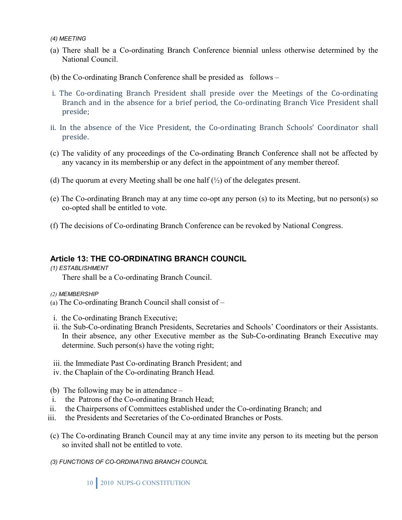*(4) MEETING* 

- (a) There shall be a Co-ordinating Branch Conference biennial unless otherwise determined by the National Council.
- (b) the Co-ordinating Branch Conference shall be presided as follows –
- i. The Co-ordinating Branch President shall preside over the Meetings of the Co-ordinating Branch and in the absence for a brief period, the Co-ordinating Branch Vice President shall preside;
- ii. In the absence of the Vice President, the Co-ordinating Branch Schools' Coordinator shall preside.
- (c) The validity of any proceedings of the Co-ordinating Branch Conference shall not be affected by any vacancy in its membership or any defect in the appointment of any member thereof.
- (d) The quorum at every Meeting shall be one half  $(\frac{1}{2})$  of the delegates present.
- (e) The Co-ordinating Branch may at any time co-opt any person (s) to its Meeting, but no person(s) so co-opted shall be entitled to vote.
- (f) The decisions of Co-ordinating Branch Conference can be revoked by National Congress.

#### **Article 13: THE CO-ORDINATING BRANCH COUNCIL**

*(1) ESTABLISHMENT* 

There shall be a Co-ordinating Branch Council.

- *(2) MEMBERSHIP*
- (a) The Co-ordinating Branch Council shall consist of –
- i. the Co-ordinating Branch Executive;
- ii. the Sub-Co-ordinating Branch Presidents, Secretaries and Schools' Coordinators or their Assistants. In their absence, any other Executive member as the Sub-Co-ordinating Branch Executive may determine. Such person(s) have the voting right;
- iii. the Immediate Past Co-ordinating Branch President; and
- iv. the Chaplain of the Co-ordinating Branch Head.
- (b) The following may be in attendance –
- i. the Patrons of the Co-ordinating Branch Head;
- ii. the Chairpersons of Committees established under the Co-ordinating Branch; and
- iii. the Presidents and Secretaries of the Co-ordinated Branches or Posts.
- (c) The Co-ordinating Branch Council may at any time invite any person to its meeting but the person so invited shall not be entitled to vote.
- *(3) FUNCTIONS OF CO-ORDINATING BRANCH COUNCIL*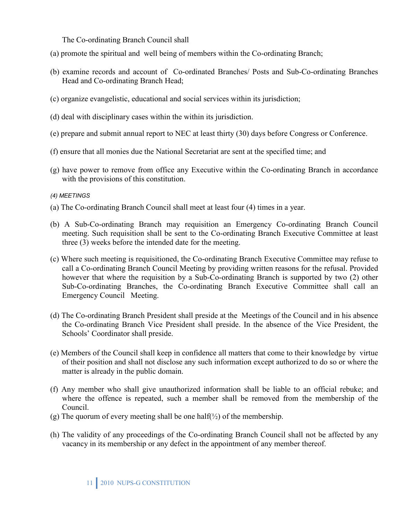The Co-ordinating Branch Council shall

- (a) promote the spiritual and well being of members within the Co-ordinating Branch;
- (b) examine records and account of Co-ordinated Branches/ Posts and Sub-Co-ordinating Branches Head and Co-ordinating Branch Head;
- (c) organize evangelistic, educational and social services within its jurisdiction;
- (d) deal with disciplinary cases within the within its jurisdiction.
- (e) prepare and submit annual report to NEC at least thirty (30) days before Congress or Conference.
- (f) ensure that all monies due the National Secretariat are sent at the specified time; and
- (g) have power to remove from office any Executive within the Co-ordinating Branch in accordance with the provisions of this constitution.

#### *(4) MEETINGS*

- (a) The Co-ordinating Branch Council shall meet at least four (4) times in a year.
- (b) A Sub-Co-ordinating Branch may requisition an Emergency Co-ordinating Branch Council meeting. Such requisition shall be sent to the Co-ordinating Branch Executive Committee at least three (3) weeks before the intended date for the meeting.
- (c) Where such meeting is requisitioned, the Co-ordinating Branch Executive Committee may refuse to call a Co-ordinating Branch Council Meeting by providing written reasons for the refusal. Provided however that where the requisition by a Sub-Co-ordinating Branch is supported by two (2) other Sub-Co-ordinating Branches, the Co-ordinating Branch Executive Committee shall call an Emergency Council Meeting.
- (d) The Co-ordinating Branch President shall preside at the Meetings of the Council and in his absence the Co-ordinating Branch Vice President shall preside. In the absence of the Vice President, the Schools' Coordinator shall preside.
- (e) Members of the Council shall keep in confidence all matters that come to their knowledge by virtue of their position and shall not disclose any such information except authorized to do so or where the matter is already in the public domain.
- (f) Any member who shall give unauthorized information shall be liable to an official rebuke; and where the offence is repeated, such a member shall be removed from the membership of the Council.
- (g) The quorum of every meeting shall be one half( $\frac{1}{2}$ ) of the membership.
- (h) The validity of any proceedings of the Co-ordinating Branch Council shall not be affected by any vacancy in its membership or any defect in the appointment of any member thereof.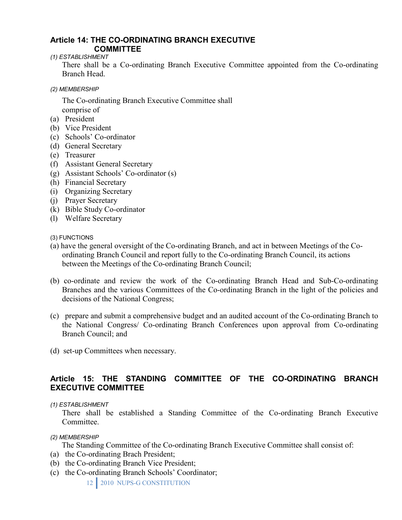#### **Article 14: THE CO-ORDINATING BRANCH EXECUTIVE COMMITTEE**

*(1) ESTABLISHMENT* 

There shall be a Co-ordinating Branch Executive Committee appointed from the Co-ordinating Branch Head.

*(2) MEMBERSHIP* 

The Co-ordinating Branch Executive Committee shall comprise of

- (a) President
- (b) Vice President
- (c) Schools' Co-ordinator
- (d) General Secretary
- (e) Treasurer
- (f) Assistant General Secretary
- (g) Assistant Schools' Co-ordinator (s)
- (h) Financial Secretary
- (i) Organizing Secretary
- (j) Prayer Secretary
- (k) Bible Study Co-ordinator
- (l) Welfare Secretary

(3) FUNCTIONS

- (a) have the general oversight of the Co-ordinating Branch, and act in between Meetings of the Coordinating Branch Council and report fully to the Co-ordinating Branch Council, its actions between the Meetings of the Co-ordinating Branch Council;
- (b) co-ordinate and review the work of the Co-ordinating Branch Head and Sub-Co-ordinating Branches and the various Committees of the Co-ordinating Branch in the light of the policies and decisions of the National Congress;
- (c) prepare and submit a comprehensive budget and an audited account of the Co-ordinating Branch to the National Congress/ Co-ordinating Branch Conferences upon approval from Co-ordinating Branch Council; and
- (d) set-up Committees when necessary.

### **Article 15: THE STANDING COMMITTEE OF THE CO-ORDINATING BRANCH EXECUTIVE COMMITTEE**

#### *(1) ESTABLISHMENT*

There shall be established a Standing Committee of the Co-ordinating Branch Executive Committee.

*(2) MEMBERSHIP* 

The Standing Committee of the Co-ordinating Branch Executive Committee shall consist of:

- (a) the Co-ordinating Brach President;
- (b) the Co-ordinating Branch Vice President;
- (c) the Co-ordinating Branch Schools' Coordinator;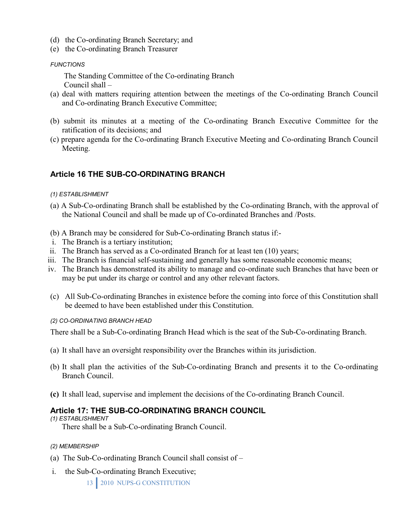- (d) the Co-ordinating Branch Secretary; and
- (e) the Co-ordinating Branch Treasurer

#### *FUNCTIONS*

 The Standing Committee of the Co-ordinating Branch Council shall –

- (a) deal with matters requiring attention between the meetings of the Co-ordinating Branch Council and Co-ordinating Branch Executive Committee;
- (b) submit its minutes at a meeting of the Co-ordinating Branch Executive Committee for the ratification of its decisions; and
- (c) prepare agenda for the Co-ordinating Branch Executive Meeting and Co-ordinating Branch Council Meeting.

### **Article 16 THE SUB-CO-ORDINATING BRANCH**

- *(1) ESTABLISHMENT*
- (a) A Sub-Co-ordinating Branch shall be established by the Co-ordinating Branch, with the approval of the National Council and shall be made up of Co-ordinated Branches and /Posts.
- (b) A Branch may be considered for Sub-Co-ordinating Branch status if:-
- i. The Branch is a tertiary institution;
- ii. The Branch has served as a Co-ordinated Branch for at least ten (10) years;
- iii. The Branch is financial self-sustaining and generally has some reasonable economic means;
- iv. The Branch has demonstrated its ability to manage and co-ordinate such Branches that have been or may be put under its charge or control and any other relevant factors.
- (c) All Sub-Co-ordinating Branches in existence before the coming into force of this Constitution shall be deemed to have been established under this Constitution.

#### *(2) CO-ORDINATING BRANCH HEAD*

There shall be a Sub-Co-ordinating Branch Head which is the seat of the Sub-Co-ordinating Branch.

- (a) It shall have an oversight responsibility over the Branches within its jurisdiction.
- (b) It shall plan the activities of the Sub-Co-ordinating Branch and presents it to the Co-ordinating Branch Council.
- **(c)** It shall lead, supervise and implement the decisions of the Co-ordinating Branch Council.

#### **Article 17: THE SUB-CO-ORDINATING BRANCH COUNCIL**

*(1) ESTABLISHMENT* 

There shall be a Sub-Co-ordinating Branch Council.

#### *(2) MEMBERSHIP*

- (a) The Sub-Co-ordinating Branch Council shall consist of –
- i. the Sub-Co-ordinating Branch Executive;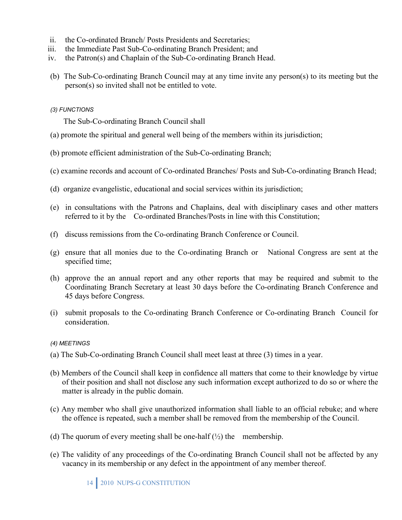- ii. the Co-ordinated Branch/ Posts Presidents and Secretaries;
- iii. the Immediate Past Sub-Co-ordinating Branch President; and
- iv. the Patron(s) and Chaplain of the Sub-Co-ordinating Branch Head.
- (b) The Sub-Co-ordinating Branch Council may at any time invite any person(s) to its meeting but the person(s) so invited shall not be entitled to vote.

#### *(3) FUNCTIONS*

The Sub-Co-ordinating Branch Council shall

- (a) promote the spiritual and general well being of the members within its jurisdiction;
- (b) promote efficient administration of the Sub-Co-ordinating Branch;
- (c) examine records and account of Co-ordinated Branches/ Posts and Sub-Co-ordinating Branch Head;
- (d) organize evangelistic, educational and social services within its jurisdiction;
- (e) in consultations with the Patrons and Chaplains, deal with disciplinary cases and other matters referred to it by the Co-ordinated Branches/Posts in line with this Constitution;
- (f) discuss remissions from the Co-ordinating Branch Conference or Council.
- (g) ensure that all monies due to the Co-ordinating Branch or National Congress are sent at the specified time;
- (h) approve the an annual report and any other reports that may be required and submit to the Coordinating Branch Secretary at least 30 days before the Co-ordinating Branch Conference and 45 days before Congress.
- (i) submit proposals to the Co-ordinating Branch Conference or Co-ordinating Branch Council for consideration.

#### *(4) MEETINGS*

- (a) The Sub-Co-ordinating Branch Council shall meet least at three (3) times in a year.
- (b) Members of the Council shall keep in confidence all matters that come to their knowledge by virtue of their position and shall not disclose any such information except authorized to do so or where the matter is already in the public domain.
- (c) Any member who shall give unauthorized information shall liable to an official rebuke; and where the offence is repeated, such a member shall be removed from the membership of the Council.
- (d) The quorum of every meeting shall be one-half  $(\frac{1}{2})$  the membership.
- (e) The validity of any proceedings of the Co-ordinating Branch Council shall not be affected by any vacancy in its membership or any defect in the appointment of any member thereof.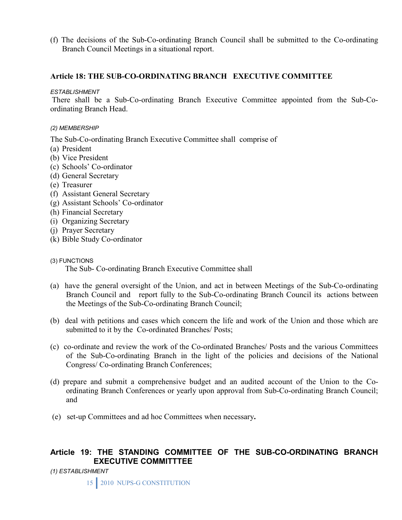(f) The decisions of the Sub-Co-ordinating Branch Council shall be submitted to the Co-ordinating Branch Council Meetings in a situational report.

### **Article 18: THE SUB-CO-ORDINATING BRANCH EXECUTIVE COMMITTEE**

#### *ESTABLISHMENT*

There shall be a Sub-Co-ordinating Branch Executive Committee appointed from the Sub-Coordinating Branch Head.

#### *(2) MEMBERSHIP*

The Sub-Co-ordinating Branch Executive Committee shall comprise of

- (a) President
- (b) Vice President
- (c) Schools' Co-ordinator
- (d) General Secretary
- (e) Treasurer
- (f) Assistant General Secretary
- (g) Assistant Schools' Co-ordinator
- (h) Financial Secretary
- (i) Organizing Secretary
- (j) Prayer Secretary
- (k) Bible Study Co-ordinator
- (3) FUNCTIONS

The Sub- Co-ordinating Branch Executive Committee shall

- (a) have the general oversight of the Union, and act in between Meetings of the Sub-Co-ordinating Branch Council and report fully to the Sub-Co-ordinating Branch Council its actions between the Meetings of the Sub-Co-ordinating Branch Council;
- (b) deal with petitions and cases which concern the life and work of the Union and those which are submitted to it by the Co-ordinated Branches/ Posts;
- (c) co-ordinate and review the work of the Co-ordinated Branches/ Posts and the various Committees of the Sub-Co-ordinating Branch in the light of the policies and decisions of the National Congress/ Co-ordinating Branch Conferences;
- (d) prepare and submit a comprehensive budget and an audited account of the Union to the Coordinating Branch Conferences or yearly upon approval from Sub-Co-ordinating Branch Council; and
- (e) set-up Committees and ad hoc Committees when necessary**.**

# **Article 19: THE STANDING COMMITTEE OF THE SUB-CO-ORDINATING BRANCH EXECUTIVE COMMITTTEE**

*(1) ESTABLISHMENT*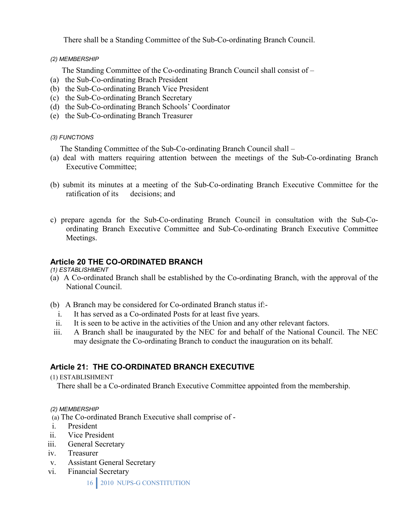There shall be a Standing Committee of the Sub-Co-ordinating Branch Council.

#### *(2) MEMBERSHIP*

The Standing Committee of the Co-ordinating Branch Council shall consist of –

- (a) the Sub-Co-ordinating Brach President
- (b) the Sub-Co-ordinating Branch Vice President
- (c) the Sub-Co-ordinating Branch Secretary
- (d) the Sub-Co-ordinating Branch Schools' Coordinator
- (e) the Sub-Co-ordinating Branch Treasurer

### *(3) FUNCTIONS*

The Standing Committee of the Sub-Co-ordinating Branch Council shall –

- (a) deal with matters requiring attention between the meetings of the Sub-Co-ordinating Branch Executive Committee;
- (b) submit its minutes at a meeting of the Sub-Co-ordinating Branch Executive Committee for the ratification of its decisions; and
- c) prepare agenda for the Sub-Co-ordinating Branch Council in consultation with the Sub-Coordinating Branch Executive Committee and Sub-Co-ordinating Branch Executive Committee Meetings.

# **Article 20 THE CO-ORDINATED BRANCH**

*(1) ESTABLISHMENT* 

- (a) A Co-ordinated Branch shall be established by the Co-ordinating Branch, with the approval of the National Council.
- (b) A Branch may be considered for Co-ordinated Branch status if:
	- i. It has served as a Co-ordinated Posts for at least five years.
	- ii. It is seen to be active in the activities of the Union and any other relevant factors.
- iii. A Branch shall be inaugurated by the NEC for and behalf of the National Council. The NEC may designate the Co-ordinating Branch to conduct the inauguration on its behalf.

# **Article 21: THE CO-ORDINATED BRANCH EXECUTIVE**

(1) ESTABLISHMENT

There shall be a Co-ordinated Branch Executive Committee appointed from the membership.

### *(2) MEMBERSHIP*

(a) The Co-ordinated Branch Executive shall comprise of -

- i. President
- ii. Vice President
- iii. General Secretary
- iv. Treasurer
- v. Assistant General Secretary
- vi. Financial Secretary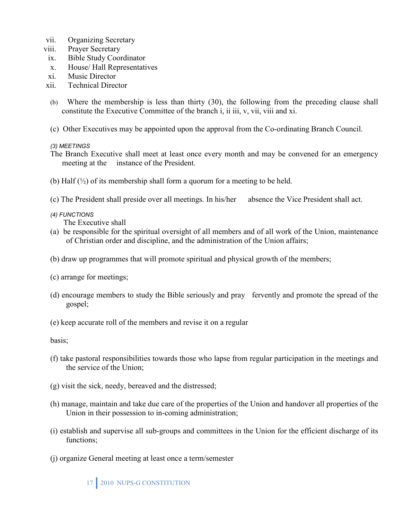- vii. Organizing Secretary
- viii. Prayer Secretary
- ix. Bible Study Coordinator
- x. House/ Hall Representatives
- xi. Music Director
- xii. Technical Director
- (b) Where the membership is less than thirty (30), the following from the preceding clause shall constitute the Executive Committee of the branch i, ii iii, v, vii, viii and xi.
- (c) Other Executives may be appointed upon the approval from the Co-ordinating Branch Council.

*(3) MEETINGS* 

- The Branch Executive shall meet at least once every month and may be convened for an emergency meeting at the instance of the President.
- (b) Half  $(\frac{1}{2})$  of its membership shall form a quorum for a meeting to be held.
- (c) The President shall preside over all meetings. In his/her absence the Vice President shall act.
- *(4) FUNCTIONS*

The Executive shall

- (a) be responsible for the spiritual oversight of all members and of all work of the Union, maintenance of Christian order and discipline, and the administration of the Union affairs;
- (b) draw up programmes that will promote spiritual and physical growth of the members;
- (c) arrange for meetings;
- (d) encourage members to study the Bible seriously and pray fervently and promote the spread of the gospel;
- (e) keep accurate roll of the members and revise it on a regular

basis;

- (f) take pastoral responsibilities towards those who lapse from regular participation in the meetings and the service of the Union;
- (g) visit the sick, needy, bereaved and the distressed;
- (h) manage, maintain and take due care of the properties of the Union and handover all properties of the Union in their possession to in-coming administration;
- (i) establish and supervise all sub-groups and committees in the Union for the efficient discharge of its functions;
- (j) organize General meeting at least once a term/semester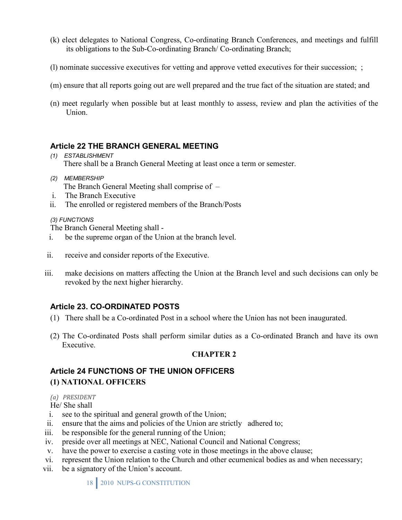- (k) elect delegates to National Congress, Co-ordinating Branch Conferences, and meetings and fulfill its obligations to the Sub-Co-ordinating Branch/ Co-ordinating Branch;
- (l) nominate successive executives for vetting and approve vetted executives for their succession; ;
- (m) ensure that all reports going out are well prepared and the true fact of the situation are stated; and
- (n) meet regularly when possible but at least monthly to assess, review and plan the activities of the Union.

# **Article 22 THE BRANCH GENERAL MEETING**

- *(1) ESTABLISHMENT*  There shall be a Branch General Meeting at least once a term or semester.
- *(2) MEMBERSHIP*  The Branch General Meeting shall comprise of –
- i. The Branch Executive
- ii. The enrolled or registered members of the Branch/Posts

#### *(3) FUNCTIONS*

The Branch General Meeting shall -

- i. be the supreme organ of the Union at the branch level.
- ii. receive and consider reports of the Executive.
- iii. make decisions on matters affecting the Union at the Branch level and such decisions can only be revoked by the next higher hierarchy.

# **Article 23. CO-ORDINATED POSTS**

- (1) There shall be a Co-ordinated Post in a school where the Union has not been inaugurated.
- (2) The Co-ordinated Posts shall perform similar duties as a Co-ordinated Branch and have its own Executive.

### **CHAPTER 2**

# **Article 24 FUNCTIONS OF THE UNION OFFICERS (1) NATIONAL OFFICERS**

#### *(a) PRESIDENT*

He/ She shall

- i. see to the spiritual and general growth of the Union;
- ii. ensure that the aims and policies of the Union are strictly adhered to;
- iii. be responsible for the general running of the Union;
- iv. preside over all meetings at NEC, National Council and National Congress;
- v. have the power to exercise a casting vote in those meetings in the above clause;
- vi. represent the Union relation to the Church and other ecumenical bodies as and when necessary;
- vii. be a signatory of the Union's account.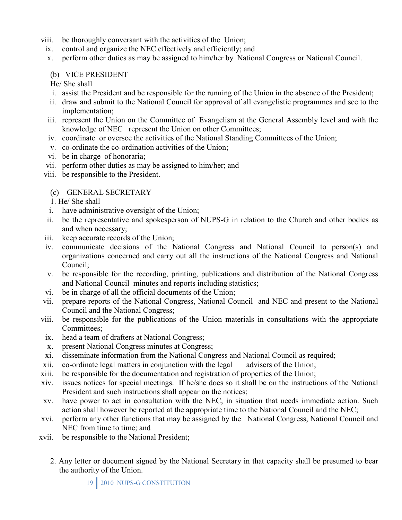- viii. be thoroughly conversant with the activities of the Union;
	- ix. control and organize the NEC effectively and efficiently; and
	- x. perform other duties as may be assigned to him/her by National Congress or National Council.

### (b) VICE PRESIDENT

- He/ She shall
- i. assist the President and be responsible for the running of the Union in the absence of the President;
- ii. draw and submit to the National Council for approval of all evangelistic programmes and see to the implementation;
- iii. represent the Union on the Committee of Evangelism at the General Assembly level and with the knowledge of NEC represent the Union on other Committees;
- iv. coordinate or oversee the activities of the National Standing Committees of the Union;
- v. co-ordinate the co-ordination activities of the Union;
- vi. be in charge of honoraria;
- vii. perform other duties as may be assigned to him/her; and
- viii. be responsible to the President.

### (c) GENERAL SECRETARY

- 1. He/ She shall
- i. have administrative oversight of the Union;
- ii. be the representative and spokesperson of NUPS-G in relation to the Church and other bodies as and when necessary;
- iii. keep accurate records of the Union;
- iv. communicate decisions of the National Congress and National Council to person(s) and organizations concerned and carry out all the instructions of the National Congress and National Council;
- v. be responsible for the recording, printing, publications and distribution of the National Congress and National Council minutes and reports including statistics;
- vi. be in charge of all the official documents of the Union;
- vii. prepare reports of the National Congress, National Council and NEC and present to the National Council and the National Congress;
- viii. be responsible for the publications of the Union materials in consultations with the appropriate Committees;
- ix. head a team of drafters at National Congress;
- x. present National Congress minutes at Congress;
- xi. disseminate information from the National Congress and National Council as required;
- xii. co-ordinate legal matters in conjunction with the legal advisers of the Union;
- xiii. be responsible for the documentation and registration of properties of the Union;
- xiv. issues notices for special meetings. If he/she does so it shall be on the instructions of the National President and such instructions shall appear on the notices;
- xv. have power to act in consultation with the NEC, in situation that needs immediate action. Such action shall however be reported at the appropriate time to the National Council and the NEC;
- xvi. perform any other functions that may be assigned by the National Congress, National Council and NEC from time to time; and
- xvii. be responsible to the National President;
	- 2. Any letter or document signed by the National Secretary in that capacity shall be presumed to bear the authority of the Union.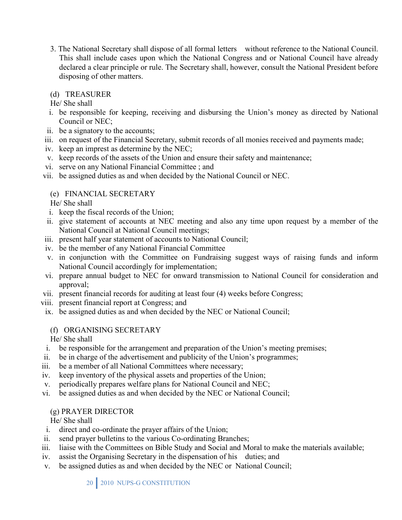3. The National Secretary shall dispose of all formal letters without reference to the National Council. This shall include cases upon which the National Congress and or National Council have already declared a clear principle or rule. The Secretary shall, however, consult the National President before disposing of other matters.

### (d) TREASURER

He/ She shall

- i. be responsible for keeping, receiving and disbursing the Union's money as directed by National Council or NEC;
- ii. be a signatory to the accounts;
- iii. on request of the Financial Secretary, submit records of all monies received and payments made;
- iv. keep an imprest as determine by the NEC;
- v. keep records of the assets of the Union and ensure their safety and maintenance;
- vi. serve on any National Financial Committee ; and
- vii. be assigned duties as and when decided by the National Council or NEC.

# (e) FINANCIAL SECRETARY

He/ She shall

- i. keep the fiscal records of the Union;
- ii. give statement of accounts at NEC meeting and also any time upon request by a member of the National Council at National Council meetings;
- iii. present half year statement of accounts to National Council;
- iv. be the member of any National Financial Committee
- v. in conjunction with the Committee on Fundraising suggest ways of raising funds and inform National Council accordingly for implementation;
- vi. prepare annual budget to NEC for onward transmission to National Council for consideration and approval;
- vii. present financial records for auditing at least four (4) weeks before Congress;
- viii. present financial report at Congress; and
- ix. be assigned duties as and when decided by the NEC or National Council;
	- (f) ORGANISING SECRETARY

He/ She shall

- i. be responsible for the arrangement and preparation of the Union's meeting premises;
- ii. be in charge of the advertisement and publicity of the Union's programmes;
- iii. be a member of all National Committees where necessary;
- iv. keep inventory of the physical assets and properties of the Union;
- v. periodically prepares welfare plans for National Council and NEC;
- vi. be assigned duties as and when decided by the NEC or National Council;

# (g) PRAYER DIRECTOR

He/ She shall

- i. direct and co-ordinate the prayer affairs of the Union;
- ii. send prayer bulletins to the various Co-ordinating Branches;
- iii. liaise with the Committees on Bible Study and Social and Moral to make the materials available;
- iv. assist the Organising Secretary in the dispensation of his duties; and
- v. be assigned duties as and when decided by the NEC or National Council;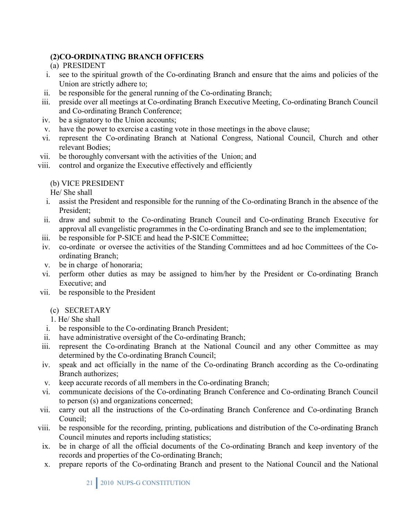# **(2)CO-ORDINATING BRANCH OFFICERS**

- (a) PRESIDENT
- i. see to the spiritual growth of the Co-ordinating Branch and ensure that the aims and policies of the Union are strictly adhere to;
- ii. be responsible for the general running of the Co-ordinating Branch;
- iii. preside over all meetings at Co-ordinating Branch Executive Meeting, Co-ordinating Branch Council and Co-ordinating Branch Conference;
- iv. be a signatory to the Union accounts;
- v. have the power to exercise a casting vote in those meetings in the above clause;
- vi. represent the Co-ordinating Branch at National Congress, National Council, Church and other relevant Bodies;
- vii. be thoroughly conversant with the activities of the Union; and
- viii. control and organize the Executive effectively and efficiently

### (b) VICE PRESIDENT

He/ She shall

- i. assist the President and responsible for the running of the Co-ordinating Branch in the absence of the President;
- ii. draw and submit to the Co-ordinating Branch Council and Co-ordinating Branch Executive for approval all evangelistic programmes in the Co-ordinating Branch and see to the implementation;
- iii. be responsible for P-SICE and head the P-SICE Committee;
- iv. co-ordinate or oversee the activities of the Standing Committees and ad hoc Committees of the Coordinating Branch;
- v. be in charge of honoraria;
- vi. perform other duties as may be assigned to him/her by the President or Co-ordinating Branch Executive; and
- vii. be responsible to the President

# (c) SECRETARY

1. He/ She shall

- i. be responsible to the Co-ordinating Branch President;
- ii. have administrative oversight of the Co-ordinating Branch;
- iii. represent the Co-ordinating Branch at the National Council and any other Committee as may determined by the Co-ordinating Branch Council;
- iv. speak and act officially in the name of the Co-ordinating Branch according as the Co-ordinating Branch authorizes;
- v. keep accurate records of all members in the Co-ordinating Branch;
- vi. communicate decisions of the Co-ordinating Branch Conference and Co-ordinating Branch Council to person (s) and organizations concerned;
- vii. carry out all the instructions of the Co-ordinating Branch Conference and Co-ordinating Branch Council;
- viii. be responsible for the recording, printing, publications and distribution of the Co-ordinating Branch Council minutes and reports including statistics;
- ix. be in charge of all the official documents of the Co-ordinating Branch and keep inventory of the records and properties of the Co-ordinating Branch;
- x. prepare reports of the Co-ordinating Branch and present to the National Council and the National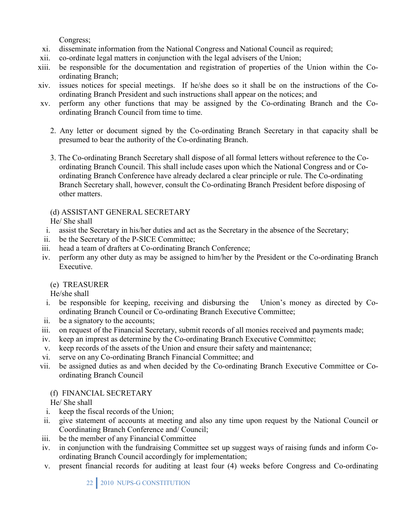Congress;

- xi. disseminate information from the National Congress and National Council as required;
- xii. co-ordinate legal matters in conjunction with the legal advisers of the Union;
- xiii. be responsible for the documentation and registration of properties of the Union within the Coordinating Branch;
- xiv. issues notices for special meetings. If he/she does so it shall be on the instructions of the Coordinating Branch President and such instructions shall appear on the notices; and
- xv. perform any other functions that may be assigned by the Co-ordinating Branch and the Coordinating Branch Council from time to time.
	- 2. Any letter or document signed by the Co-ordinating Branch Secretary in that capacity shall be presumed to bear the authority of the Co-ordinating Branch.
	- 3. The Co-ordinating Branch Secretary shall dispose of all formal letters without reference to the Coordinating Branch Council. This shall include cases upon which the National Congress and or Coordinating Branch Conference have already declared a clear principle or rule. The Co-ordinating Branch Secretary shall, however, consult the Co-ordinating Branch President before disposing of other matters.

# (d) ASSISTANT GENERAL SECRETARY

He/ She shall

- i. assist the Secretary in his/her duties and act as the Secretary in the absence of the Secretary;
- ii. be the Secretary of the P-SICE Committee;
- iii. head a team of drafters at Co-ordinating Branch Conference;
- iv. perform any other duty as may be assigned to him/her by the President or the Co-ordinating Branch Executive.
	- (e) TREASURER

He/she shall

- i. be responsible for keeping, receiving and disbursing the Union's money as directed by Coordinating Branch Council or Co-ordinating Branch Executive Committee;
- ii. be a signatory to the accounts;
- iii. on request of the Financial Secretary, submit records of all monies received and payments made;
- iv. keep an imprest as determine by the Co-ordinating Branch Executive Committee;
- v. keep records of the assets of the Union and ensure their safety and maintenance;
- vi. serve on any Co-ordinating Branch Financial Committee; and
- vii. be assigned duties as and when decided by the Co-ordinating Branch Executive Committee or Coordinating Branch Council

# (f) FINANCIAL SECRETARY

He/ She shall

- i. keep the fiscal records of the Union;
- ii. give statement of accounts at meeting and also any time upon request by the National Council or Coordinating Branch Conference and/ Council;
- iii. be the member of any Financial Committee
- iv. in conjunction with the fundraising Committee set up suggest ways of raising funds and inform Coordinating Branch Council accordingly for implementation;
- v. present financial records for auditing at least four (4) weeks before Congress and Co-ordinating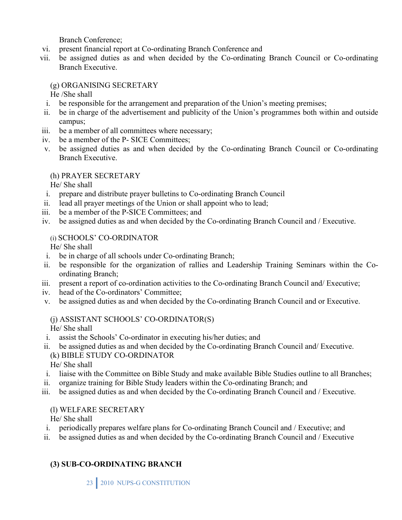Branch Conference;

- vi. present financial report at Co-ordinating Branch Conference and
- vii. be assigned duties as and when decided by the Co-ordinating Branch Council or Co-ordinating Branch Executive.

# (g) ORGANISING SECRETARY

He /She shall

- i. be responsible for the arrangement and preparation of the Union's meeting premises;
- ii. be in charge of the advertisement and publicity of the Union's programmes both within and outside campus;
- iii. be a member of all committees where necessary;
- iv. be a member of the P- SICE Committees;
- v. be assigned duties as and when decided by the Co-ordinating Branch Council or Co-ordinating Branch Executive.

# (h) PRAYER SECRETARY

He/ She shall

- i. prepare and distribute prayer bulletins to Co-ordinating Branch Council
- ii. lead all prayer meetings of the Union or shall appoint who to lead;
- iii. be a member of the P-SICE Committees; and
- iv. be assigned duties as and when decided by the Co-ordinating Branch Council and / Executive.

# (i) SCHOOLS' CO-ORDINATOR

He/ She shall

- i. be in charge of all schools under Co-ordinating Branch;
- ii. be responsible for the organization of rallies and Leadership Training Seminars within the Coordinating Branch;
- iii. present a report of co-ordination activities to the Co-ordinating Branch Council and/ Executive;
- iv. head of the Co-ordinators' Committee;
- v. be assigned duties as and when decided by the Co-ordinating Branch Council and or Executive.

# (j) ASSISTANT SCHOOLS' CO-ORDINATOR(S)

He/ She shall

- i. assist the Schools' Co-ordinator in executing his/her duties; and
- ii. be assigned duties as and when decided by the Co-ordinating Branch Council and/ Executive. (k) BIBLE STUDY CO-ORDINATOR

He/ She shall

- i. liaise with the Committee on Bible Study and make available Bible Studies outline to all Branches;
- ii. organize training for Bible Study leaders within the Co-ordinating Branch; and
- iii. be assigned duties as and when decided by the Co-ordinating Branch Council and / Executive.

# (l) WELFARE SECRETARY

He/ She shall

- i. periodically prepares welfare plans for Co-ordinating Branch Council and / Executive; and
- ii. be assigned duties as and when decided by the Co-ordinating Branch Council and / Executive

# **(3) SUB-CO-ORDINATING BRANCH**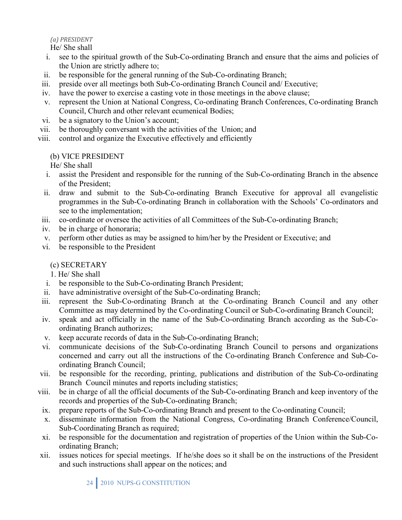*(a) PRESIDENT*

He/ She shall

- i. see to the spiritual growth of the Sub-Co-ordinating Branch and ensure that the aims and policies of the Union are strictly adhere to;
- ii. be responsible for the general running of the Sub-Co-ordinating Branch;
- iii. preside over all meetings both Sub-Co-ordinating Branch Council and/ Executive;
- iv. have the power to exercise a casting vote in those meetings in the above clause;
- v. represent the Union at National Congress, Co-ordinating Branch Conferences, Co-ordinating Branch Council, Church and other relevant ecumenical Bodies;
- vi. be a signatory to the Union's account;
- vii. be thoroughly conversant with the activities of the Union; and
- viii. control and organize the Executive effectively and efficiently

# (b) VICE PRESIDENT

He/ She shall

- i. assist the President and responsible for the running of the Sub-Co-ordinating Branch in the absence of the President;
- ii. draw and submit to the Sub-Co-ordinating Branch Executive for approval all evangelistic programmes in the Sub-Co-ordinating Branch in collaboration with the Schools' Co-ordinators and see to the implementation;
- iii. co-ordinate or oversee the activities of all Committees of the Sub-Co-ordinating Branch;
- iv. be in charge of honoraria;
- v. perform other duties as may be assigned to him/her by the President or Executive; and
- vi. be responsible to the President

(c) SECRETARY

1. He/ She shall

- i. be responsible to the Sub-Co-ordinating Branch President;
- ii. have administrative oversight of the Sub-Co-ordinating Branch;
- iii. represent the Sub-Co-ordinating Branch at the Co-ordinating Branch Council and any other Committee as may determined by the Co-ordinating Council or Sub-Co-ordinating Branch Council;
- iv. speak and act officially in the name of the Sub-Co-ordinating Branch according as the Sub-Coordinating Branch authorizes;
- v. keep accurate records of data in the Sub-Co-ordinating Branch;
- vi. communicate decisions of the Sub-Co-ordinating Branch Council to persons and organizations concerned and carry out all the instructions of the Co-ordinating Branch Conference and Sub-Coordinating Branch Council;
- vii. be responsible for the recording, printing, publications and distribution of the Sub-Co-ordinating Branch Council minutes and reports including statistics;
- viii. be in charge of all the official documents of the Sub-Co-ordinating Branch and keep inventory of the records and properties of the Sub-Co-ordinating Branch;
- ix. prepare reports of the Sub-Co-ordinating Branch and present to the Co-ordinating Council;
- x. disseminate information from the National Congress, Co-ordinating Branch Conference/Council, Sub-Coordinating Branch as required;
- xi. be responsible for the documentation and registration of properties of the Union within the Sub-Coordinating Branch;
- xii. issues notices for special meetings. If he/she does so it shall be on the instructions of the President and such instructions shall appear on the notices; and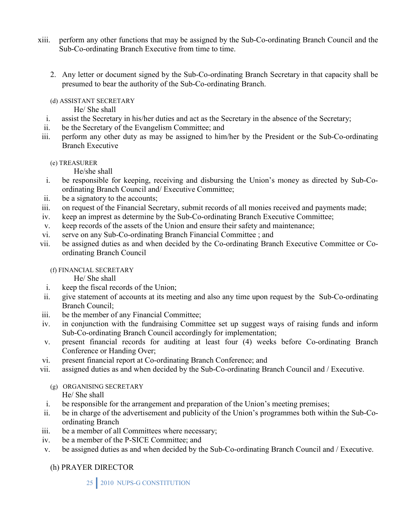- xiii. perform any other functions that may be assigned by the Sub-Co-ordinating Branch Council and the Sub-Co-ordinating Branch Executive from time to time.
	- 2. Any letter or document signed by the Sub-Co-ordinating Branch Secretary in that capacity shall be presumed to bear the authority of the Sub-Co-ordinating Branch.
	- (d) ASSISTANT SECRETARY

He/ She shall

- i. assist the Secretary in his/her duties and act as the Secretary in the absence of the Secretary;
- ii. be the Secretary of the Evangelism Committee; and
- iii. perform any other duty as may be assigned to him/her by the President or the Sub-Co-ordinating Branch Executive
	- (e) TREASURER

He/she shall

- i. be responsible for keeping, receiving and disbursing the Union's money as directed by Sub-Coordinating Branch Council and/ Executive Committee;
- ii. be a signatory to the accounts;
- iii. on request of the Financial Secretary, submit records of all monies received and payments made;
- iv. keep an imprest as determine by the Sub-Co-ordinating Branch Executive Committee;
- v. keep records of the assets of the Union and ensure their safety and maintenance;
- vi. serve on any Sub-Co-ordinating Branch Financial Committee ; and
- vii. be assigned duties as and when decided by the Co-ordinating Branch Executive Committee or Coordinating Branch Council

(f) FINANCIAL SECRETARY

He/ She shall

- i. keep the fiscal records of the Union;
- ii. give statement of accounts at its meeting and also any time upon request by the Sub-Co-ordinating Branch Council;
- iii. be the member of any Financial Committee;
- iv. in conjunction with the fundraising Committee set up suggest ways of raising funds and inform Sub-Co-ordinating Branch Council accordingly for implementation;
- v. present financial records for auditing at least four (4) weeks before Co-ordinating Branch Conference or Handing Over;
- vi. present financial report at Co-ordinating Branch Conference; and
- vii. assigned duties as and when decided by the Sub-Co-ordinating Branch Council and / Executive.

(g) ORGANISING SECRETARY He/ She shall

- i. be responsible for the arrangement and preparation of the Union's meeting premises;
- ii. be in charge of the advertisement and publicity of the Union's programmes both within the Sub-Coordinating Branch
- iii. be a member of all Committees where necessary;
- iv. be a member of the P-SICE Committee; and
- v. be assigned duties as and when decided by the Sub-Co-ordinating Branch Council and / Executive.

(h) PRAYER DIRECTOR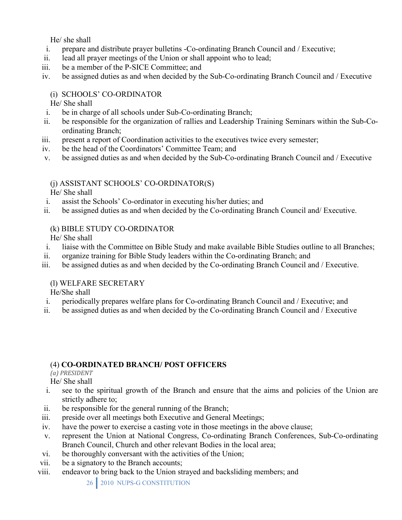He/ she shall

- i. prepare and distribute prayer bulletins -Co-ordinating Branch Council and / Executive;
- ii. lead all prayer meetings of the Union or shall appoint who to lead;
- iii. be a member of the P-SICE Committee; and
- iv. be assigned duties as and when decided by the Sub-Co-ordinating Branch Council and / Executive

# (i) SCHOOLS' CO-ORDINATOR

He/ She shall

- i. be in charge of all schools under Sub-Co-ordinating Branch;
- ii. be responsible for the organization of rallies and Leadership Training Seminars within the Sub-Coordinating Branch;
- iii. present a report of Coordination activities to the executives twice every semester;
- iv. be the head of the Coordinators' Committee Team; and
- v. be assigned duties as and when decided by the Sub-Co-ordinating Branch Council and / Executive

# (j) ASSISTANT SCHOOLS' CO-ORDINATOR(S)

He/ She shall

- i. assist the Schools' Co-ordinator in executing his/her duties; and
- ii. be assigned duties as and when decided by the Co-ordinating Branch Council and/ Executive.

# (k) BIBLE STUDY CO-ORDINATOR

He/ She shall

- i. liaise with the Committee on Bible Study and make available Bible Studies outline to all Branches;
- ii. organize training for Bible Study leaders within the Co-ordinating Branch; and
- iii. be assigned duties as and when decided by the Co-ordinating Branch Council and / Executive.

# (l) WELFARE SECRETARY

He/She shall

- i. periodically prepares welfare plans for Co-ordinating Branch Council and / Executive; and
- ii. be assigned duties as and when decided by the Co-ordinating Branch Council and / Executive

# (4) **CO-ORDINATED BRANCH/ POST OFFICERS**

*(a) PRESIDENT*

He/ She shall

- i. see to the spiritual growth of the Branch and ensure that the aims and policies of the Union are strictly adhere to;
- ii. be responsible for the general running of the Branch;
- iii. preside over all meetings both Executive and General Meetings;
- iv. have the power to exercise a casting vote in those meetings in the above clause;
- v. represent the Union at National Congress, Co-ordinating Branch Conferences, Sub-Co-ordinating Branch Council, Church and other relevant Bodies in the local area;
- vi. be thoroughly conversant with the activities of the Union;
- vii. be a signatory to the Branch accounts;
- viii. endeavor to bring back to the Union strayed and backsliding members; and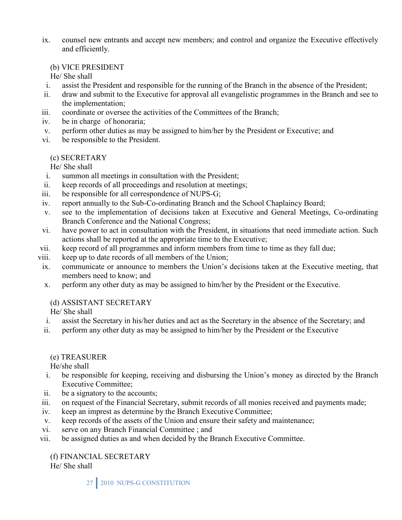ix. counsel new entrants and accept new members; and control and organize the Executive effectively and efficiently.

#### (b) VICE PRESIDENT

He/ She shall

- i. assist the President and responsible for the running of the Branch in the absence of the President;
- ii. draw and submit to the Executive for approval all evangelistic programmes in the Branch and see to the implementation;
- iii. coordinate or oversee the activities of the Committees of the Branch;
- iv. be in charge of honoraria;
- v. perform other duties as may be assigned to him/her by the President or Executive; and
- vi. be responsible to the President.

### (c) SECRETARY

He/ She shall

- i. summon all meetings in consultation with the President;
- ii. keep records of all proceedings and resolution at meetings;
- iii. be responsible for all correspondence of NUPS-G;
- iv. report annually to the Sub-Co-ordinating Branch and the School Chaplaincy Board;
- v. see to the implementation of decisions taken at Executive and General Meetings, Co-ordinating Branch Conference and the National Congress;
- vi. have power to act in consultation with the President, in situations that need immediate action. Such actions shall be reported at the appropriate time to the Executive;
- vii. keep record of all programmes and inform members from time to time as they fall due;
- viii. keep up to date records of all members of the Union;
- ix. communicate or announce to members the Union's decisions taken at the Executive meeting, that members need to know; and
- x. perform any other duty as may be assigned to him/her by the President or the Executive.

# (d) ASSISTANT SECRETARY

He/ She shall

- i. assist the Secretary in his/her duties and act as the Secretary in the absence of the Secretary; and
- ii. perform any other duty as may be assigned to him/her by the President or the Executive

### (e) TREASURER

He/she shall

- i. be responsible for keeping, receiving and disbursing the Union's money as directed by the Branch Executive Committee;
- ii. be a signatory to the accounts;
- iii. on request of the Financial Secretary, submit records of all monies received and payments made;
- iv. keep an imprest as determine by the Branch Executive Committee;
- v. keep records of the assets of the Union and ensure their safety and maintenance;
- vi. serve on any Branch Financial Committee ; and
- vii. be assigned duties as and when decided by the Branch Executive Committee.

(f) FINANCIAL SECRETARY

He/ She shall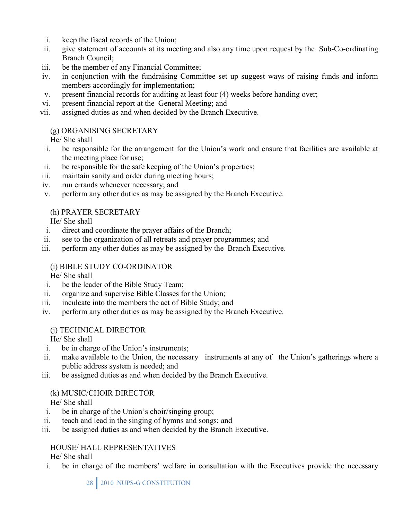- i. keep the fiscal records of the Union;
- ii. give statement of accounts at its meeting and also any time upon request by the Sub-Co-ordinating Branch Council;
- iii. be the member of any Financial Committee;
- iv. in conjunction with the fundraising Committee set up suggest ways of raising funds and inform members accordingly for implementation;
- v. present financial records for auditing at least four (4) weeks before handing over;
- vi. present financial report at the General Meeting; and
- vii. assigned duties as and when decided by the Branch Executive.

# (g) ORGANISING SECRETARY

He/ She shall

- i. be responsible for the arrangement for the Union's work and ensure that facilities are available at the meeting place for use;
- ii. be responsible for the safe keeping of the Union's properties;
- iii. maintain sanity and order during meeting hours;
- iv. run errands whenever necessary; and
- v. perform any other duties as may be assigned by the Branch Executive.

### (h) PRAYER SECRETARY

He/ She shall

- i. direct and coordinate the prayer affairs of the Branch;
- ii. see to the organization of all retreats and prayer programmes; and
- iii. perform any other duties as may be assigned by the Branch Executive.

# (i) BIBLE STUDY CO-ORDINATOR

He/ She shall

- i. be the leader of the Bible Study Team;
- ii. organize and supervise Bible Classes for the Union;
- iii. inculcate into the members the act of Bible Study; and
- iv. perform any other duties as may be assigned by the Branch Executive.

### (j) TECHNICAL DIRECTOR

He/ She shall

- i. be in charge of the Union's instruments;
- ii. make available to the Union, the necessary instruments at any of the Union's gatherings where a public address system is needed; and
- iii. be assigned duties as and when decided by the Branch Executive.

# (k) MUSIC/CHOIR DIRECTOR

He/ She shall

- i. be in charge of the Union's choir/singing group;
- ii. teach and lead in the singing of hymns and songs; and
- iii. be assigned duties as and when decided by the Branch Executive.

# HOUSE/ HALL REPRESENTATIVES

He/ She shall

i. be in charge of the members' welfare in consultation with the Executives provide the necessary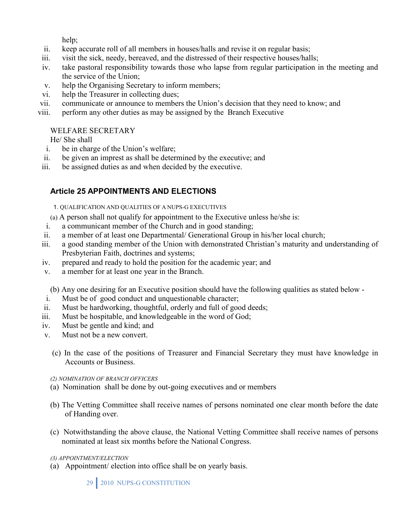help;

- ii. keep accurate roll of all members in houses/halls and revise it on regular basis;
- iii. visit the sick, needy, bereaved, and the distressed of their respective houses/halls;
- iv. take pastoral responsibility towards those who lapse from regular participation in the meeting and the service of the Union;
- v. help the Organising Secretary to inform members;
- vi. help the Treasurer in collecting dues;
- vii. communicate or announce to members the Union's decision that they need to know; and
- viii. perform any other duties as may be assigned by the Branch Executive

# WELFARE SECRETARY

He/ She shall

- i. be in charge of the Union's welfare;
- ii. be given an imprest as shall be determined by the executive; and
- iii. be assigned duties as and when decided by the executive.

# **Article 25 APPOINTMENTS AND ELECTIONS**

- 1. QUALIFICATION AND QUALITIES OF A NUPS-G EXECUTIVES
- (a) A person shall not qualify for appointment to the Executive unless he/she is:
- i. a communicant member of the Church and in good standing;
- ii. a member of at least one Departmental/ Generational Group in his/her local church;
- iii. a good standing member of the Union with demonstrated Christian's maturity and understanding of Presbyterian Faith, doctrines and systems;
- iv. prepared and ready to hold the position for the academic year; and
- v. a member for at least one year in the Branch.

(b) Any one desiring for an Executive position should have the following qualities as stated below -

- i. Must be of good conduct and unquestionable character;
- ii. Must be hardworking, thoughtful, orderly and full of good deeds;
- iii. Must be hospitable, and knowledgeable in the word of God;
- iv. Must be gentle and kind; and
- v. Must not be a new convert.
	- (c) In the case of the positions of Treasurer and Financial Secretary they must have knowledge in Accounts or Business.
	- *(2) NOMINATION OF BRANCH OFFICERS*
	- (a) Nomination shall be done by out-going executives and or members
	- (b) The Vetting Committee shall receive names of persons nominated one clear month before the date of Handing over.
	- (c) Notwithstanding the above clause, the National Vetting Committee shall receive names of persons nominated at least six months before the National Congress.

### *(3) APPOINTMENT/ELECTION*

(a) Appointment/ election into office shall be on yearly basis.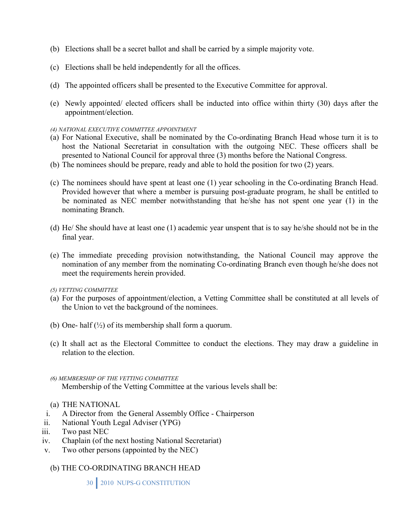- (b) Elections shall be a secret ballot and shall be carried by a simple majority vote.
- (c) Elections shall be held independently for all the offices.
- (d) The appointed officers shall be presented to the Executive Committee for approval.
- (e) Newly appointed/ elected officers shall be inducted into office within thirty (30) days after the appointment/election.

#### *(4) NATIONAL EXECUTIVE COMMITTEE APPOINTMENT*

- (a) For National Executive, shall be nominated by the Co-ordinating Branch Head whose turn it is to host the National Secretariat in consultation with the outgoing NEC. These officers shall be presented to National Council for approval three (3) months before the National Congress.
- (b) The nominees should be prepare, ready and able to hold the position for two (2) years.
- (c) The nominees should have spent at least one (1) year schooling in the Co-ordinating Branch Head. Provided however that where a member is pursuing post-graduate program, he shall be entitled to be nominated as NEC member notwithstanding that he/she has not spent one year (1) in the nominating Branch.
- (d) He/ She should have at least one (1) academic year unspent that is to say he/she should not be in the final year.
- (e) The immediate preceding provision notwithstanding, the National Council may approve the nomination of any member from the nominating Co-ordinating Branch even though he/she does not meet the requirements herein provided.
- *(5) VETTING COMMITTEE*
- (a) For the purposes of appointment/election, a Vetting Committee shall be constituted at all levels of the Union to vet the background of the nominees.
- (b) One- half  $(\frac{1}{2})$  of its membership shall form a quorum.
- (c) It shall act as the Electoral Committee to conduct the elections. They may draw a guideline in relation to the election.
- *(6) MEMBERSHIP OF THE VETTING COMMITTEE*  Membership of the Vetting Committee at the various levels shall be:
- (a) THE NATIONAL
- i. A Director from the General Assembly Office Chairperson
- ii. National Youth Legal Adviser (YPG)
- iii. Two past NEC
- iv. Chaplain (of the next hosting National Secretariat)
- v. Two other persons (appointed by the NEC)
	- (b) THE CO-ORDINATING BRANCH HEAD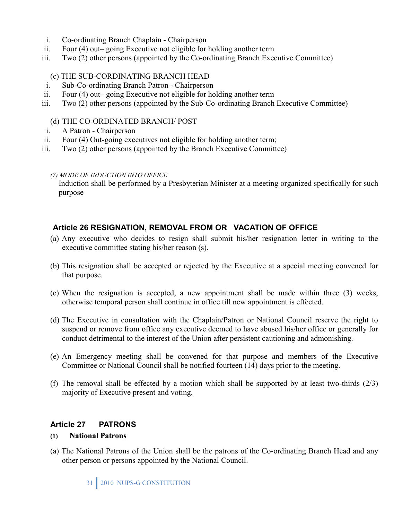- i. Co-ordinating Branch Chaplain Chairperson
- ii. Four (4) out– going Executive not eligible for holding another term
- iii. Two (2) other persons (appointed by the Co-ordinating Branch Executive Committee)

#### (c) THE SUB-CORDINATING BRANCH HEAD

- i. Sub-Co-ordinating Branch Patron Chairperson
- ii. Four (4) out– going Executive not eligible for holding another term
- iii. Two (2) other persons (appointed by the Sub-Co-ordinating Branch Executive Committee)

#### (d) THE CO-ORDINATED BRANCH/ POST

- i. A Patron Chairperson
- ii. Four (4) Out-going executives not eligible for holding another term;
- iii. Two (2) other persons (appointed by the Branch Executive Committee)

#### *(7) MODE OF INDUCTION INTO OFFICE*

Induction shall be performed by a Presbyterian Minister at a meeting organized specifically for such purpose

### **Article 26 RESIGNATION, REMOVAL FROM OR VACATION OF OFFICE**

- (a) Any executive who decides to resign shall submit his/her resignation letter in writing to the executive committee stating his/her reason (s).
- (b) This resignation shall be accepted or rejected by the Executive at a special meeting convened for that purpose.
- (c) When the resignation is accepted, a new appointment shall be made within three (3) weeks, otherwise temporal person shall continue in office till new appointment is effected.
- (d) The Executive in consultation with the Chaplain/Patron or National Council reserve the right to suspend or remove from office any executive deemed to have abused his/her office or generally for conduct detrimental to the interest of the Union after persistent cautioning and admonishing.
- (e) An Emergency meeting shall be convened for that purpose and members of the Executive Committee or National Council shall be notified fourteen (14) days prior to the meeting.
- (f) The removal shall be effected by a motion which shall be supported by at least two-thirds  $(2/3)$ majority of Executive present and voting.

### **Article 27 PATRONS**

#### **(1) National Patrons**

(a) The National Patrons of the Union shall be the patrons of the Co-ordinating Branch Head and any other person or persons appointed by the National Council.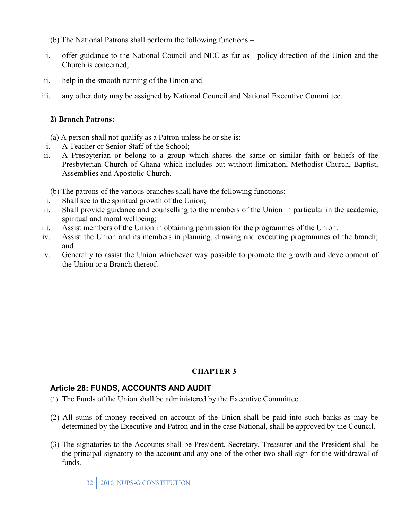- (b) The National Patrons shall perform the following functions –
- i. offer guidance to the National Council and NEC as far as policy direction of the Union and the Church is concerned;
- ii. help in the smooth running of the Union and
- iii. any other duty may be assigned by National Council and National Executive Committee.

### **2) Branch Patrons:**

- (a) A person shall not qualify as a Patron unless he or she is:
- i. A Teacher or Senior Staff of the School;
- ii. A Presbyterian or belong to a group which shares the same or similar faith or beliefs of the Presbyterian Church of Ghana which includes but without limitation, Methodist Church, Baptist, Assemblies and Apostolic Church.
	- (b) The patrons of the various branches shall have the following functions:
- i. Shall see to the spiritual growth of the Union;
- ii. Shall provide guidance and counselling to the members of the Union in particular in the academic, spiritual and moral wellbeing;
- iii. Assist members of the Union in obtaining permission for the programmes of the Union.
- iv. Assist the Union and its members in planning, drawing and executing programmes of the branch; and
- v. Generally to assist the Union whichever way possible to promote the growth and development of the Union or a Branch thereof.

# **CHAPTER 3**

# **Article 28: FUNDS, ACCOUNTS AND AUDIT**

- (1) The Funds of the Union shall be administered by the Executive Committee.
- (2) All sums of money received on account of the Union shall be paid into such banks as may be determined by the Executive and Patron and in the case National, shall be approved by the Council.
- (3) The signatories to the Accounts shall be President, Secretary, Treasurer and the President shall be the principal signatory to the account and any one of the other two shall sign for the withdrawal of funds.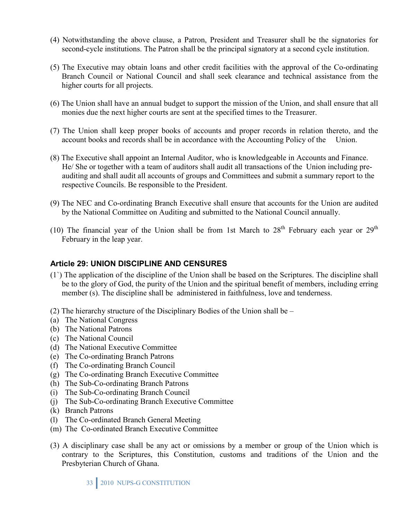- (4) Notwithstanding the above clause, a Patron, President and Treasurer shall be the signatories for second-cycle institutions. The Patron shall be the principal signatory at a second cycle institution.
- (5) The Executive may obtain loans and other credit facilities with the approval of the Co-ordinating Branch Council or National Council and shall seek clearance and technical assistance from the higher courts for all projects.
- (6) The Union shall have an annual budget to support the mission of the Union, and shall ensure that all monies due the next higher courts are sent at the specified times to the Treasurer.
- (7) The Union shall keep proper books of accounts and proper records in relation thereto, and the account books and records shall be in accordance with the Accounting Policy of the Union.
- (8) The Executive shall appoint an Internal Auditor, who is knowledgeable in Accounts and Finance. He/ She or together with a team of auditors shall audit all transactions of the Union including preauditing and shall audit all accounts of groups and Committees and submit a summary report to the respective Councils. Be responsible to the President.
- (9) The NEC and Co-ordinating Branch Executive shall ensure that accounts for the Union are audited by the National Committee on Auditing and submitted to the National Council annually.
- (10) The financial year of the Union shall be from 1st March to  $28<sup>th</sup>$  February each year or  $29<sup>th</sup>$ February in the leap year.

### **Article 29: UNION DISCIPLINE AND CENSURES**

- (1`) The application of the discipline of the Union shall be based on the Scriptures. The discipline shall be to the glory of God, the purity of the Union and the spiritual benefit of members, including erring member (s). The discipline shall be administered in faithfulness, love and tenderness.
- (2) The hierarchy structure of the Disciplinary Bodies of the Union shall be –
- (a) The National Congress
- (b) The National Patrons
- (c) The National Council
- (d) The National Executive Committee
- (e) The Co-ordinating Branch Patrons
- (f) The Co-ordinating Branch Council
- (g) The Co-ordinating Branch Executive Committee
- (h) The Sub-Co-ordinating Branch Patrons
- (i) The Sub-Co-ordinating Branch Council
- (j) The Sub-Co-ordinating Branch Executive Committee
- (k) Branch Patrons
- (l) The Co-ordinated Branch General Meeting
- (m) The Co-ordinated Branch Executive Committee
- (3) A disciplinary case shall be any act or omissions by a member or group of the Union which is contrary to the Scriptures, this Constitution, customs and traditions of the Union and the Presbyterian Church of Ghana.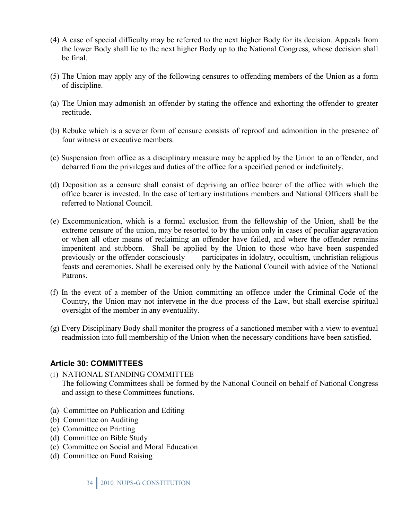- (4) A case of special difficulty may be referred to the next higher Body for its decision. Appeals from the lower Body shall lie to the next higher Body up to the National Congress, whose decision shall be final.
- (5) The Union may apply any of the following censures to offending members of the Union as a form of discipline.
- (a) The Union may admonish an offender by stating the offence and exhorting the offender to greater rectitude.
- (b) Rebuke which is a severer form of censure consists of reproof and admonition in the presence of four witness or executive members.
- (c) Suspension from office as a disciplinary measure may be applied by the Union to an offender, and debarred from the privileges and duties of the office for a specified period or indefinitely.
- (d) Deposition as a censure shall consist of depriving an office bearer of the office with which the office bearer is invested. In the case of tertiary institutions members and National Officers shall be referred to National Council.
- (e) Excommunication, which is a formal exclusion from the fellowship of the Union, shall be the extreme censure of the union, may be resorted to by the union only in cases of peculiar aggravation or when all other means of reclaiming an offender have failed, and where the offender remains impenitent and stubborn. Shall be applied by the Union to those who have been suspended previously or the offender consciously participates in idolatry, occultism, unchristian religious feasts and ceremonies. Shall be exercised only by the National Council with advice of the National Patrons.
- (f) In the event of a member of the Union committing an offence under the Criminal Code of the Country, the Union may not intervene in the due process of the Law, but shall exercise spiritual oversight of the member in any eventuality.
- (g) Every Disciplinary Body shall monitor the progress of a sanctioned member with a view to eventual readmission into full membership of the Union when the necessary conditions have been satisfied.

### **Article 30: COMMITTEES**

- (1) NATIONAL STANDING COMMITTEE The following Committees shall be formed by the National Council on behalf of National Congress and assign to these Committees functions.
- (a)Committee on Publication and Editing
- (b) Committee on Auditing
- (c) Committee on Printing
- (d) Committee on Bible Study
- (c) Committee on Social and Moral Education
- (d) Committee on Fund Raising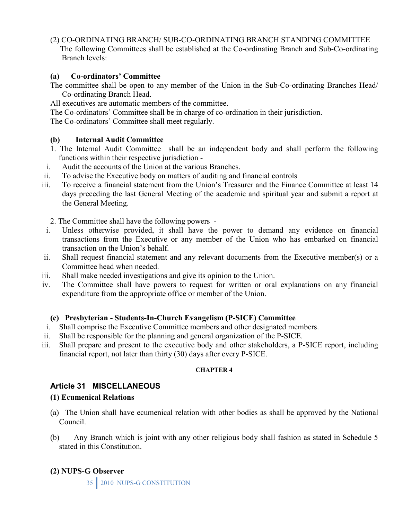(2) CO-ORDINATING BRANCH/ SUB-CO-ORDINATING BRANCH STANDING COMMITTEE

 The following Committees shall be established at the Co-ordinating Branch and Sub-Co-ordinating Branch levels:

#### **(a) Co-ordinators' Committee**

The committee shall be open to any member of the Union in the Sub-Co-ordinating Branches Head/ Co-ordinating Branch Head.

All executives are automatic members of the committee.

The Co-ordinators' Committee shall be in charge of co-ordination in their jurisdiction.

The Co-ordinators' Committee shall meet regularly.

### **(b) Internal Audit Committee**

- 1. The Internal Audit Committee shall be an independent body and shall perform the following functions within their respective jurisdiction -
- i. Audit the accounts of the Union at the various Branches.
- ii. To advise the Executive body on matters of auditing and financial controls
- iii. To receive a financial statement from the Union's Treasurer and the Finance Committee at least 14 days preceding the last General Meeting of the academic and spiritual year and submit a report at the General Meeting.

2. The Committee shall have the following powers -

- i. Unless otherwise provided, it shall have the power to demand any evidence on financial transactions from the Executive or any member of the Union who has embarked on financial transaction on the Union's behalf.
- ii. Shall request financial statement and any relevant documents from the Executive member(s) or a Committee head when needed.
- iii. Shall make needed investigations and give its opinion to the Union.
- iv. The Committee shall have powers to request for written or oral explanations on any financial expenditure from the appropriate office or member of the Union.

### **(c) Presbyterian - Students-In-Church Evangelism (P-SICE) Committee**

- i. Shall comprise the Executive Committee members and other designated members.
- ii. Shall be responsible for the planning and general organization of the P-SICE.
- iii. Shall prepare and present to the executive body and other stakeholders, a P-SICE report, including financial report, not later than thirty (30) days after every P-SICE.

### **CHAPTER 4**

# **Article 31 MISCELLANEOUS**

### **(1) Ecumenical Relations**

- (a) The Union shall have ecumenical relation with other bodies as shall be approved by the National Council.
- (b) Any Branch which is joint with any other religious body shall fashion as stated in Schedule 5 stated in this Constitution.

# **(2) NUPS-G Observer**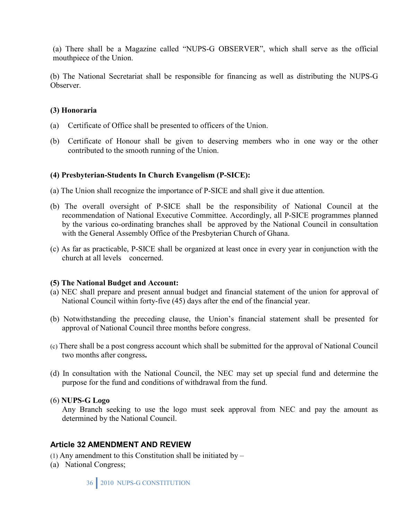(a) There shall be a Magazine called "NUPS-G OBSERVER", which shall serve as the official mouthpiece of the Union.

(b) The National Secretariat shall be responsible for financing as well as distributing the NUPS-G Observer.

#### **(3) Honoraria**

- (a) Certificate of Office shall be presented to officers of the Union.
- (b) Certificate of Honour shall be given to deserving members who in one way or the other contributed to the smooth running of the Union.

### **(4) Presbyterian-Students In Church Evangelism (P-SICE):**

- (a) The Union shall recognize the importance of P-SICE and shall give it due attention.
- (b) The overall oversight of P-SICE shall be the responsibility of National Council at the recommendation of National Executive Committee. Accordingly, all P-SICE programmes planned by the various co-ordinating branches shall be approved by the National Council in consultation with the General Assembly Office of the Presbyterian Church of Ghana.
- (c) As far as practicable, P-SICE shall be organized at least once in every year in conjunction with the church at all levels concerned.

#### **(5) The National Budget and Account:**

- (a) NEC shall prepare and present annual budget and financial statement of the union for approval of National Council within forty-five (45) days after the end of the financial year.
- (b) Notwithstanding the preceding clause, the Union's financial statement shall be presented for approval of National Council three months before congress.
- (c) There shall be a post congress account which shall be submitted for the approval of National Council two months after congress**.**
- (d) In consultation with the National Council, the NEC may set up special fund and determine the purpose for the fund and conditions of withdrawal from the fund.

### (6) **NUPS-G Logo**

Any Branch seeking to use the logo must seek approval from NEC and pay the amount as determined by the National Council.

### **Article 32 AMENDMENT AND REVIEW**

(1) Any amendment to this Constitution shall be initiated by  $-$ 

(a) National Congress;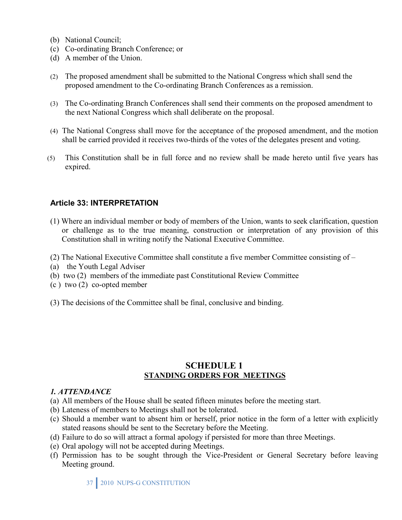- (b) National Council;
- (c) Co-ordinating Branch Conference; or
- (d) A member of the Union.
- (2) The proposed amendment shall be submitted to the National Congress which shall send the proposed amendment to the Co-ordinating Branch Conferences as a remission.
- (3) The Co-ordinating Branch Conferences shall send their comments on the proposed amendment to the next National Congress which shall deliberate on the proposal.
- (4) The National Congress shall move for the acceptance of the proposed amendment, and the motion shall be carried provided it receives two-thirds of the votes of the delegates present and voting.
- (5) This Constitution shall be in full force and no review shall be made hereto until five years has expired.

### **Article 33: INTERPRETATION**

- (1) Where an individual member or body of members of the Union, wants to seek clarification, question or challenge as to the true meaning, construction or interpretation of any provision of this Constitution shall in writing notify the National Executive Committee.
- (2) The National Executive Committee shall constitute a five member Committee consisting of –
- (a) the Youth Legal Adviser
- (b) two (2) members of the immediate past Constitutional Review Committee
- (c ) two (2) co-opted member
- (3) The decisions of the Committee shall be final, conclusive and binding.

# **SCHEDULE 1 STANDING ORDERS FOR MEETINGS**

#### *1. ATTENDANCE*

- (a) All members of the House shall be seated fifteen minutes before the meeting start.
- (b) Lateness of members to Meetings shall not be tolerated.
- (c) Should a member want to absent him or herself, prior notice in the form of a letter with explicitly stated reasons should be sent to the Secretary before the Meeting.
- (d) Failure to do so will attract a formal apology if persisted for more than three Meetings.
- (e) Oral apology will not be accepted during Meetings.
- (f) Permission has to be sought through the Vice-President or General Secretary before leaving Meeting ground.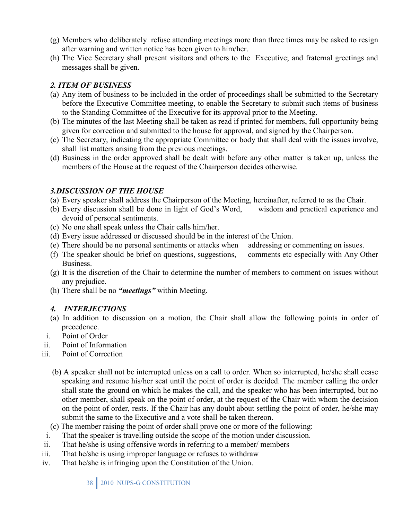- (g) Members who deliberately refuse attending meetings more than three times may be asked to resign after warning and written notice has been given to him/her.
- (h) The Vice Secretary shall present visitors and others to the Executive; and fraternal greetings and messages shall be given.

### *2. ITEM OF BUSINESS*

- (a) Any item of business to be included in the order of proceedings shall be submitted to the Secretary before the Executive Committee meeting, to enable the Secretary to submit such items of business to the Standing Committee of the Executive for its approval prior to the Meeting.
- (b) The minutes of the last Meeting shall be taken as read if printed for members, full opportunity being given for correction and submitted to the house for approval, and signed by the Chairperson.
- (c) The Secretary, indicating the appropriate Committee or body that shall deal with the issues involve, shall list matters arising from the previous meetings.
- (d) Business in the order approved shall be dealt with before any other matter is taken up, unless the members of the House at the request of the Chairperson decides otherwise.

### *3.DISCUSSION OF THE HOUSE*

- (a) Every speaker shall address the Chairperson of the Meeting, hereinafter, referred to as the Chair.
- (b) Every discussion shall be done in light of God's Word, wisdom and practical experience and devoid of personal sentiments.
- (c) No one shall speak unless the Chair calls him/her.
- (d) Every issue addressed or discussed should be in the interest of the Union.
- (e) There should be no personal sentiments or attacks when addressing or commenting on issues.
- (f) The speaker should be brief on questions, suggestions, comments etc especially with Any Other Business.
- (g) It is the discretion of the Chair to determine the number of members to comment on issues without any prejudice.
- (h) There shall be no *"meetings"* within Meeting.

# *4. INTERJECTIONS*

- (a) In addition to discussion on a motion, the Chair shall allow the following points in order of precedence.
- i. Point of Order
- ii. Point of Information
- iii. Point of Correction
	- (b) A speaker shall not be interrupted unless on a call to order. When so interrupted, he/she shall cease speaking and resume his/her seat until the point of order is decided. The member calling the order shall state the ground on which he makes the call, and the speaker who has been interrupted, but no other member, shall speak on the point of order, at the request of the Chair with whom the decision on the point of order, rests. If the Chair has any doubt about settling the point of order, he/she may submit the same to the Executive and a vote shall be taken thereon.
	- (c) The member raising the point of order shall prove one or more of the following:
- i. That the speaker is travelling outside the scope of the motion under discussion.
- ii. That he/she is using offensive words in referring to a member/ members
- iii. That he/she is using improper language or refuses to withdraw
- iv. That he/she is infringing upon the Constitution of the Union.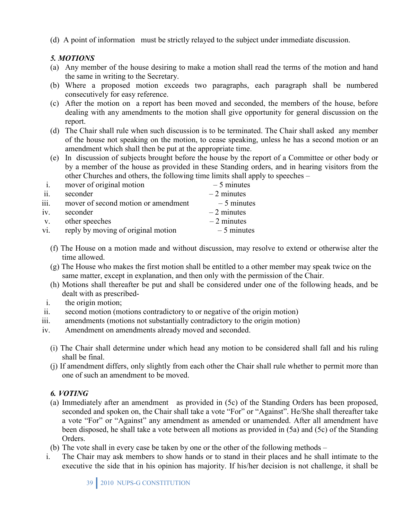(d) A point of information must be strictly relayed to the subject under immediate discussion.

# *5. MOTIONS*

- (a) Any member of the house desiring to make a motion shall read the terms of the motion and hand the same in writing to the Secretary.
- (b) Where a proposed motion exceeds two paragraphs, each paragraph shall be numbered consecutively for easy reference.
- (c) After the motion on a report has been moved and seconded, the members of the house, before dealing with any amendments to the motion shall give opportunity for general discussion on the report.
- (d) The Chair shall rule when such discussion is to be terminated. The Chair shall asked any member of the house not speaking on the motion, to cease speaking, unless he has a second motion or an amendment which shall then be put at the appropriate time.
- (e) In discussion of subjects brought before the house by the report of a Committee or other body or by a member of the house as provided in these Standing orders, and in hearing visitors from the other Churches and others, the following time limits shall apply to speeches –

|      | mover of original motion            | $-5$ minutes |
|------|-------------------------------------|--------------|
| ii.  | seconder                            | $-2$ minutes |
| iii. | mover of second motion or amendment | $-5$ minutes |
| iv.  | seconder                            | $-2$ minutes |
| V.   | other speeches                      | $-2$ minutes |
| vi.  | reply by moving of original motion  | $-5$ minutes |

- (f) The House on a motion made and without discussion, may resolve to extend or otherwise alter the time allowed.
- (g) The House who makes the first motion shall be entitled to a other member may speak twice on the same matter, except in explanation, and then only with the permission of the Chair.
- (h) Motions shall thereafter be put and shall be considered under one of the following heads, and be dealt with as prescribed-
- i. the origin motion;
- ii. second motion (motions contradictory to or negative of the origin motion)
- iii. amendments (motions not substantially contradictory to the origin motion)
- iv. Amendment on amendments already moved and seconded.
	- (i) The Chair shall determine under which head any motion to be considered shall fall and his ruling shall be final.
	- (j) If amendment differs, only slightly from each other the Chair shall rule whether to permit more than one of such an amendment to be moved.

# *6. VOTING*

- (a) Immediately after an amendment as provided in (5c) of the Standing Orders has been proposed, seconded and spoken on, the Chair shall take a vote "For" or "Against". He/She shall thereafter take a vote "For" or "Against" any amendment as amended or unamended. After all amendment have been disposed, he shall take a vote between all motions as provided in (5a) and (5c) of the Standing **Orders**
- (b) The vote shall in every case be taken by one or the other of the following methods –
- i. The Chair may ask members to show hands or to stand in their places and he shall intimate to the executive the side that in his opinion has majority. If his/her decision is not challenge, it shall be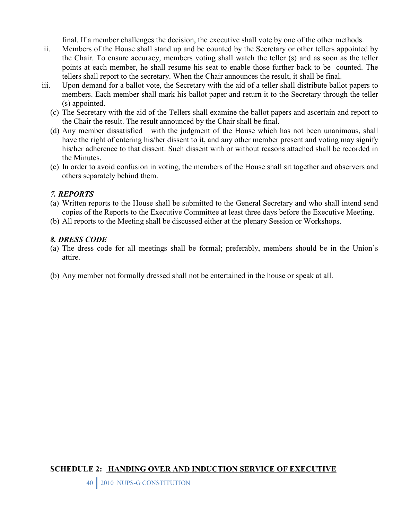final. If a member challenges the decision, the executive shall vote by one of the other methods.

- ii. Members of the House shall stand up and be counted by the Secretary or other tellers appointed by the Chair. To ensure accuracy, members voting shall watch the teller (s) and as soon as the teller points at each member, he shall resume his seat to enable those further back to be counted. The tellers shall report to the secretary. When the Chair announces the result, it shall be final.
- iii. Upon demand for a ballot vote, the Secretary with the aid of a teller shall distribute ballot papers to members. Each member shall mark his ballot paper and return it to the Secretary through the teller (s) appointed.
	- (c) The Secretary with the aid of the Tellers shall examine the ballot papers and ascertain and report to the Chair the result. The result announced by the Chair shall be final.
	- (d) Any member dissatisfied with the judgment of the House which has not been unanimous, shall have the right of entering his/her dissent to it, and any other member present and voting may signify his/her adherence to that dissent. Such dissent with or without reasons attached shall be recorded in the Minutes.
	- (e) In order to avoid confusion in voting, the members of the House shall sit together and observers and others separately behind them.

### *7. REPORTS*

- (a) Written reports to the House shall be submitted to the General Secretary and who shall intend send copies of the Reports to the Executive Committee at least three days before the Executive Meeting.
- (b) All reports to the Meeting shall be discussed either at the plenary Session or Workshops.

### *8. DRESS CODE*

- (a) The dress code for all meetings shall be formal; preferably, members should be in the Union's attire.
- (b) Any member not formally dressed shall not be entertained in the house or speak at all.

### **SCHEDULE 2: HANDING OVER AND INDUCTION SERVICE OF EXECUTIVE**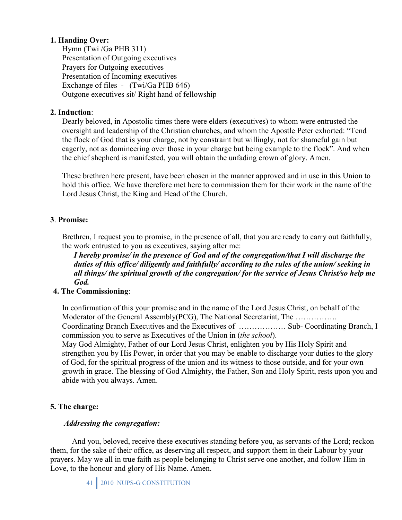### **1. Handing Over:**

Hymn (Twi /Ga PHB 311) Presentation of Outgoing executives Prayers for Outgoing executives Presentation of Incoming executives Exchange of files - (Twi/Ga PHB 646) Outgone executives sit/ Right hand of fellowship

### **2. Induction**:

Dearly beloved, in Apostolic times there were elders (executives) to whom were entrusted the oversight and leadership of the Christian churches, and whom the Apostle Peter exhorted: "Tend the flock of God that is your charge, not by constraint but willingly, not for shameful gain but eagerly, not as domineering over those in your charge but being example to the flock". And when the chief shepherd is manifested, you will obtain the unfading crown of glory. Amen.

These brethren here present, have been chosen in the manner approved and in use in this Union to hold this office. We have therefore met here to commission them for their work in the name of the Lord Jesus Christ, the King and Head of the Church.

### **3**. **Promise:**

Brethren, I request you to promise, in the presence of all, that you are ready to carry out faithfully, the work entrusted to you as executives, saying after me:

*I hereby promise/ in the presence of God and of the congregation/that I will discharge the duties of this office/ diligently and faithfully/ according to the rules of the union/ seeking in all things/ the spiritual growth of the congregation/ for the service of Jesus Christ/so help me God.* 

### **4. The Commissioning**:

In confirmation of this your promise and in the name of the Lord Jesus Christ, on behalf of the Moderator of the General Assembly(PCG), The National Secretariat, The ................. Coordinating Branch Executives and the Executives of ……………… Sub- Coordinating Branch, I commission you to serve as Executives of the Union in (*the school*).

May God Almighty, Father of our Lord Jesus Christ, enlighten you by His Holy Spirit and strengthen you by His Power, in order that you may be enable to discharge your duties to the glory of God, for the spiritual progress of the union and its witness to those outside, and for your own growth in grace. The blessing of God Almighty, the Father, Son and Holy Spirit, rests upon you and abide with you always. Amen.

# **5. The charge:**

### *Addressing the congregation:*

 And you, beloved, receive these executives standing before you, as servants of the Lord; reckon them, for the sake of their office, as deserving all respect, and support them in their Labour by your prayers. May we all in true faith as people belonging to Christ serve one another, and follow Him in Love, to the honour and glory of His Name. Amen.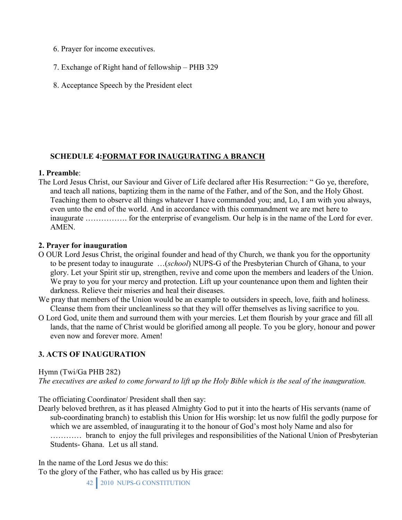- 6. Prayer for income executives.
- 7. Exchange of Right hand of fellowship PHB 329
- 8. Acceptance Speech by the President elect

### **SCHEDULE 4:FORMAT FOR INAUGURATING A BRANCH**

### **1. Preamble**:

The Lord Jesus Christ, our Saviour and Giver of Life declared after His Resurrection: " Go ye, therefore, and teach all nations, baptizing them in the name of the Father, and of the Son, and the Holy Ghost. Teaching them to observe all things whatever I have commanded you; and, Lo, I am with you always, even unto the end of the world. And in accordance with this commandment we are met here to inaugurate ……………. for the enterprise of evangelism. Our help is in the name of the Lord for ever. AMEN.

### **2. Prayer for inauguration**

- O OUR Lord Jesus Christ, the original founder and head of thy Church, we thank you for the opportunity to be present today to inaugurate …(*school*) NUPS-G of the Presbyterian Church of Ghana, to your glory. Let your Spirit stir up, strengthen, revive and come upon the members and leaders of the Union. We pray to you for your mercy and protection. Lift up your countenance upon them and lighten their darkness. Relieve their miseries and heal their diseases.
- We pray that members of the Union would be an example to outsiders in speech, love, faith and holiness. Cleanse them from their uncleanliness so that they will offer themselves as living sacrifice to you.
- O Lord God, unite them and surround them with your mercies. Let them flourish by your grace and fill all lands, that the name of Christ would be glorified among all people. To you be glory, honour and power even now and forever more. Amen!

# **3. ACTS OF INAUGURATION**

Hymn (Twi/Ga PHB 282)

*The executives are asked to come forward to lift up the Holy Bible which is the seal of the inauguration.* 

The officiating Coordinator/ President shall then say:

Dearly beloved brethren, as it has pleased Almighty God to put it into the hearts of His servants (name of sub-coordinating branch) to establish this Union for His worship: let us now fulfil the godly purpose for which we are assembled, of inaugurating it to the honour of God's most holy Name and also for ………… branch to enjoy the full privileges and responsibilities of the National Union of Presbyterian Students- Ghana. Let us all stand.

In the name of the Lord Jesus we do this:

To the glory of the Father, who has called us by His grace: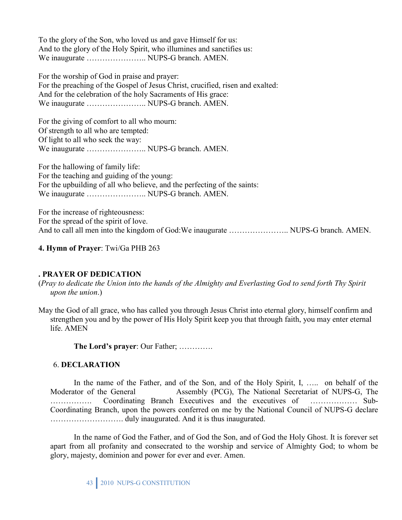To the glory of the Son, who loved us and gave Himself for us: And to the glory of the Holy Spirit, who illumines and sanctifies us: We inaugurate ………………….. NUPS-G branch. AMEN.

For the worship of God in praise and prayer: For the preaching of the Gospel of Jesus Christ, crucified, risen and exalted: And for the celebration of the holy Sacraments of His grace: We inaugurate ………………….. NUPS-G branch. AMEN.

For the giving of comfort to all who mourn: Of strength to all who are tempted: Of light to all who seek the way: We inaugurate ………………….. NUPS-G branch. AMEN.

For the hallowing of family life: For the teaching and guiding of the young: For the upbuilding of all who believe, and the perfecting of the saints: We inaugurate ………………….. NUPS-G branch. AMEN.

For the increase of righteousness: For the spread of the spirit of love. And to call all men into the kingdom of God:We inaugurate ………………….. NUPS-G branch. AMEN.

### **4. Hymn of Prayer**: Twi/Ga PHB 263

#### **. PRAYER OF DEDICATION**

(*Pray to dedicate the Union into the hands of the Almighty and Everlasting God to send forth Thy Spirit upon the union*.)

May the God of all grace, who has called you through Jesus Christ into eternal glory, himself confirm and strengthen you and by the power of His Holy Spirit keep you that through faith, you may enter eternal life. AMEN

**The Lord's prayer**: Our Father; ………….

#### 6. **DECLARATION**

In the name of the Father, and of the Son, and of the Holy Spirit, I, ... on behalf of the Moderator of the General Assembly (PCG), The National Secretariat of NUPS-G, The ……………. Coordinating Branch Executives and the executives of ……………… Sub-Coordinating Branch, upon the powers conferred on me by the National Council of NUPS-G declare ………………………. duly inaugurated. And it is thus inaugurated.

In the name of God the Father, and of God the Son, and of God the Holy Ghost. It is forever set apart from all profanity and consecrated to the worship and service of Almighty God; to whom be glory, majesty, dominion and power for ever and ever. Amen.